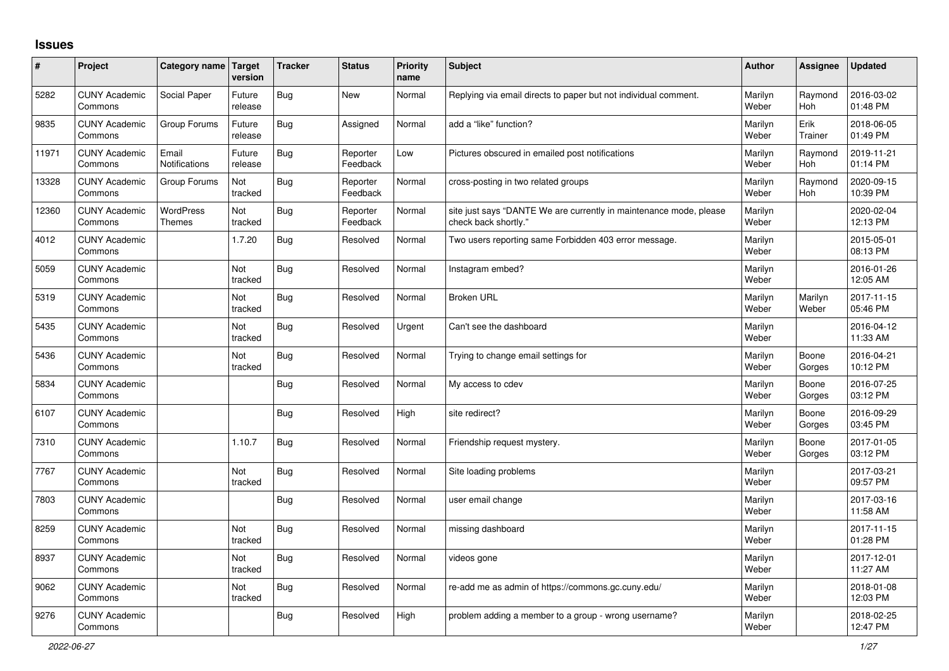## **Issues**

| #     | Project                         | Category name                     | Target<br>version | <b>Tracker</b> | <b>Status</b>        | <b>Priority</b><br>name | <b>Subject</b>                                                                             | <b>Author</b>    | Assignee              | <b>Updated</b>         |
|-------|---------------------------------|-----------------------------------|-------------------|----------------|----------------------|-------------------------|--------------------------------------------------------------------------------------------|------------------|-----------------------|------------------------|
| 5282  | <b>CUNY Academic</b><br>Commons | Social Paper                      | Future<br>release | Bug            | New                  | Normal                  | Replying via email directs to paper but not individual comment.                            | Marilyn<br>Weber | Raymond<br><b>Hoh</b> | 2016-03-02<br>01:48 PM |
| 9835  | <b>CUNY Academic</b><br>Commons | Group Forums                      | Future<br>release | Bug            | Assigned             | Normal                  | add a "like" function?                                                                     | Marilyn<br>Weber | Erik<br>Trainer       | 2018-06-05<br>01:49 PM |
| 11971 | <b>CUNY Academic</b><br>Commons | Email<br><b>Notifications</b>     | Future<br>release | <b>Bug</b>     | Reporter<br>Feedback | Low                     | Pictures obscured in emailed post notifications                                            | Marilyn<br>Weber | Raymond<br><b>Hoh</b> | 2019-11-21<br>01:14 PM |
| 13328 | <b>CUNY Academic</b><br>Commons | Group Forums                      | Not<br>tracked    | Bug            | Reporter<br>Feedback | Normal                  | cross-posting in two related groups                                                        | Marilyn<br>Weber | Raymond<br><b>Hoh</b> | 2020-09-15<br>10:39 PM |
| 12360 | <b>CUNY Academic</b><br>Commons | <b>WordPress</b><br><b>Themes</b> | Not<br>tracked    | <b>Bug</b>     | Reporter<br>Feedback | Normal                  | site just says "DANTE We are currently in maintenance mode, please<br>check back shortly." | Marilyn<br>Weber |                       | 2020-02-04<br>12:13 PM |
| 4012  | <b>CUNY Academic</b><br>Commons |                                   | 1.7.20            | <b>Bug</b>     | Resolved             | Normal                  | Two users reporting same Forbidden 403 error message.                                      | Marilyn<br>Weber |                       | 2015-05-01<br>08:13 PM |
| 5059  | <b>CUNY Academic</b><br>Commons |                                   | Not<br>tracked    | Bug            | Resolved             | Normal                  | Instagram embed?                                                                           | Marilyn<br>Weber |                       | 2016-01-26<br>12:05 AM |
| 5319  | <b>CUNY Academic</b><br>Commons |                                   | Not<br>tracked    | <b>Bug</b>     | Resolved             | Normal                  | <b>Broken URL</b>                                                                          | Marilyn<br>Weber | Marilyn<br>Weber      | 2017-11-15<br>05:46 PM |
| 5435  | <b>CUNY Academic</b><br>Commons |                                   | Not<br>tracked    | <b>Bug</b>     | Resolved             | Urgent                  | Can't see the dashboard                                                                    | Marilyn<br>Weber |                       | 2016-04-12<br>11:33 AM |
| 5436  | <b>CUNY Academic</b><br>Commons |                                   | Not<br>tracked    | <b>Bug</b>     | Resolved             | Normal                  | Trying to change email settings for                                                        | Marilyn<br>Weber | Boone<br>Gorges       | 2016-04-21<br>10:12 PM |
| 5834  | <b>CUNY Academic</b><br>Commons |                                   |                   | <b>Bug</b>     | Resolved             | Normal                  | My access to cdev                                                                          | Marilyn<br>Weber | Boone<br>Gorges       | 2016-07-25<br>03:12 PM |
| 6107  | <b>CUNY Academic</b><br>Commons |                                   |                   | Bug            | Resolved             | High                    | site redirect?                                                                             | Marilyn<br>Weber | Boone<br>Gorges       | 2016-09-29<br>03:45 PM |
| 7310  | <b>CUNY Academic</b><br>Commons |                                   | 1.10.7            | Bug            | Resolved             | Normal                  | Friendship request mystery.                                                                | Marilyn<br>Weber | Boone<br>Gorges       | 2017-01-05<br>03:12 PM |
| 7767  | <b>CUNY Academic</b><br>Commons |                                   | Not<br>tracked    | <b>Bug</b>     | Resolved             | Normal                  | Site loading problems                                                                      | Marilyn<br>Weber |                       | 2017-03-21<br>09:57 PM |
| 7803  | <b>CUNY Academic</b><br>Commons |                                   |                   | <b>Bug</b>     | Resolved             | Normal                  | user email change                                                                          | Marilyn<br>Weber |                       | 2017-03-16<br>11:58 AM |
| 8259  | <b>CUNY Academic</b><br>Commons |                                   | Not<br>tracked    | <b>Bug</b>     | Resolved             | Normal                  | missing dashboard                                                                          | Marilyn<br>Weber |                       | 2017-11-15<br>01:28 PM |
| 8937  | <b>CUNY Academic</b><br>Commons |                                   | Not<br>tracked    | Bug            | Resolved             | Normal                  | videos gone                                                                                | Marilyn<br>Weber |                       | 2017-12-01<br>11:27 AM |
| 9062  | <b>CUNY Academic</b><br>Commons |                                   | Not<br>tracked    | <b>Bug</b>     | Resolved             | Normal                  | re-add me as admin of https://commons.gc.cuny.edu/                                         | Marilyn<br>Weber |                       | 2018-01-08<br>12:03 PM |
| 9276  | <b>CUNY Academic</b><br>Commons |                                   |                   | Bug            | Resolved             | High                    | problem adding a member to a group - wrong username?                                       | Marilyn<br>Weber |                       | 2018-02-25<br>12:47 PM |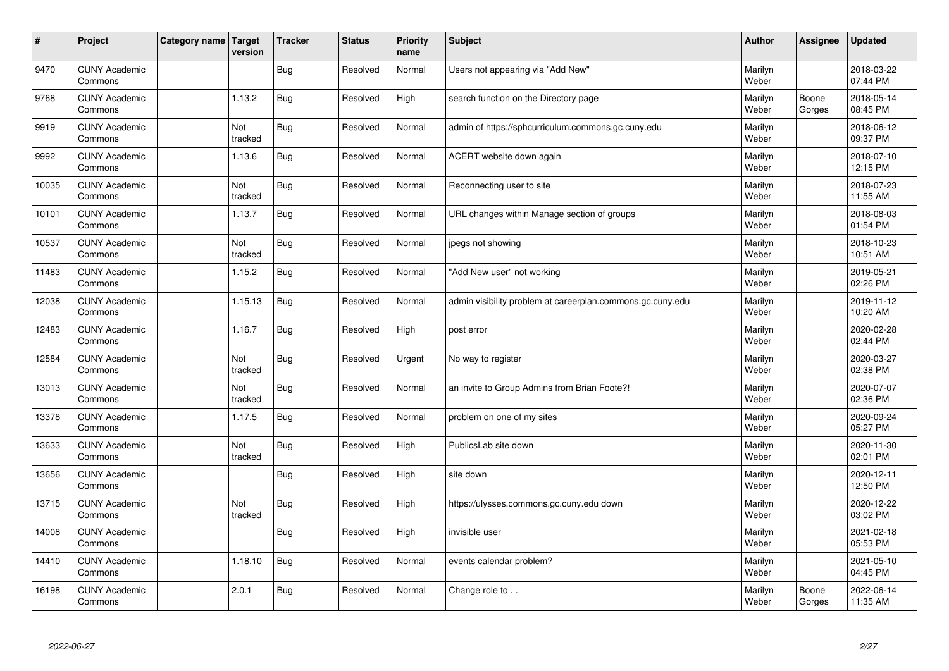| $\vert$ # | Project                         | Category name Target | version        | <b>Tracker</b> | <b>Status</b> | <b>Priority</b><br>name | <b>Subject</b>                                             | <b>Author</b>    | <b>Assignee</b> | <b>Updated</b>         |
|-----------|---------------------------------|----------------------|----------------|----------------|---------------|-------------------------|------------------------------------------------------------|------------------|-----------------|------------------------|
| 9470      | <b>CUNY Academic</b><br>Commons |                      |                | Bug            | Resolved      | Normal                  | Users not appearing via "Add New"                          | Marilyn<br>Weber |                 | 2018-03-22<br>07:44 PM |
| 9768      | <b>CUNY Academic</b><br>Commons |                      | 1.13.2         | Bug            | Resolved      | High                    | search function on the Directory page                      | Marilyn<br>Weber | Boone<br>Gorges | 2018-05-14<br>08:45 PM |
| 9919      | <b>CUNY Academic</b><br>Commons |                      | Not<br>tracked | <b>Bug</b>     | Resolved      | Normal                  | admin of https://sphcurriculum.commons.gc.cuny.edu         | Marilyn<br>Weber |                 | 2018-06-12<br>09:37 PM |
| 9992      | <b>CUNY Academic</b><br>Commons |                      | 1.13.6         | <b>Bug</b>     | Resolved      | Normal                  | ACERT website down again                                   | Marilyn<br>Weber |                 | 2018-07-10<br>12:15 PM |
| 10035     | <b>CUNY Academic</b><br>Commons |                      | Not<br>tracked | <b>Bug</b>     | Resolved      | Normal                  | Reconnecting user to site                                  | Marilyn<br>Weber |                 | 2018-07-23<br>11:55 AM |
| 10101     | <b>CUNY Academic</b><br>Commons |                      | 1.13.7         | <b>Bug</b>     | Resolved      | Normal                  | URL changes within Manage section of groups                | Marilyn<br>Weber |                 | 2018-08-03<br>01:54 PM |
| 10537     | <b>CUNY Academic</b><br>Commons |                      | Not<br>tracked | <b>Bug</b>     | Resolved      | Normal                  | jpegs not showing                                          | Marilyn<br>Weber |                 | 2018-10-23<br>10:51 AM |
| 11483     | <b>CUNY Academic</b><br>Commons |                      | 1.15.2         | Bug            | Resolved      | Normal                  | "Add New user" not working                                 | Marilyn<br>Weber |                 | 2019-05-21<br>02:26 PM |
| 12038     | <b>CUNY Academic</b><br>Commons |                      | 1.15.13        | Bug            | Resolved      | Normal                  | admin visibility problem at careerplan.commons.gc.cuny.edu | Marilyn<br>Weber |                 | 2019-11-12<br>10:20 AM |
| 12483     | <b>CUNY Academic</b><br>Commons |                      | 1.16.7         | <b>Bug</b>     | Resolved      | High                    | post error                                                 | Marilyn<br>Weber |                 | 2020-02-28<br>02:44 PM |
| 12584     | <b>CUNY Academic</b><br>Commons |                      | Not<br>tracked | <b>Bug</b>     | Resolved      | Urgent                  | No way to register                                         | Marilyn<br>Weber |                 | 2020-03-27<br>02:38 PM |
| 13013     | <b>CUNY Academic</b><br>Commons |                      | Not<br>tracked | <b>Bug</b>     | Resolved      | Normal                  | an invite to Group Admins from Brian Foote?!               | Marilyn<br>Weber |                 | 2020-07-07<br>02:36 PM |
| 13378     | <b>CUNY Academic</b><br>Commons |                      | 1.17.5         | <b>Bug</b>     | Resolved      | Normal                  | problem on one of my sites                                 | Marilyn<br>Weber |                 | 2020-09-24<br>05:27 PM |
| 13633     | <b>CUNY Academic</b><br>Commons |                      | Not<br>tracked | <b>Bug</b>     | Resolved      | High                    | PublicsLab site down                                       | Marilyn<br>Weber |                 | 2020-11-30<br>02:01 PM |
| 13656     | <b>CUNY Academic</b><br>Commons |                      |                | <b>Bug</b>     | Resolved      | High                    | site down                                                  | Marilyn<br>Weber |                 | 2020-12-11<br>12:50 PM |
| 13715     | <b>CUNY Academic</b><br>Commons |                      | Not<br>tracked | <b>Bug</b>     | Resolved      | High                    | https://ulysses.commons.gc.cuny.edu down                   | Marilyn<br>Weber |                 | 2020-12-22<br>03:02 PM |
| 14008     | <b>CUNY Academic</b><br>Commons |                      |                | Bug            | Resolved      | High                    | invisible user                                             | Marilyn<br>Weber |                 | 2021-02-18<br>05:53 PM |
| 14410     | <b>CUNY Academic</b><br>Commons |                      | 1.18.10        | Bug            | Resolved      | Normal                  | events calendar problem?                                   | Marilyn<br>Weber |                 | 2021-05-10<br>04:45 PM |
| 16198     | <b>CUNY Academic</b><br>Commons |                      | 2.0.1          | Bug            | Resolved      | Normal                  | Change role to                                             | Marilyn<br>Weber | Boone<br>Gorges | 2022-06-14<br>11:35 AM |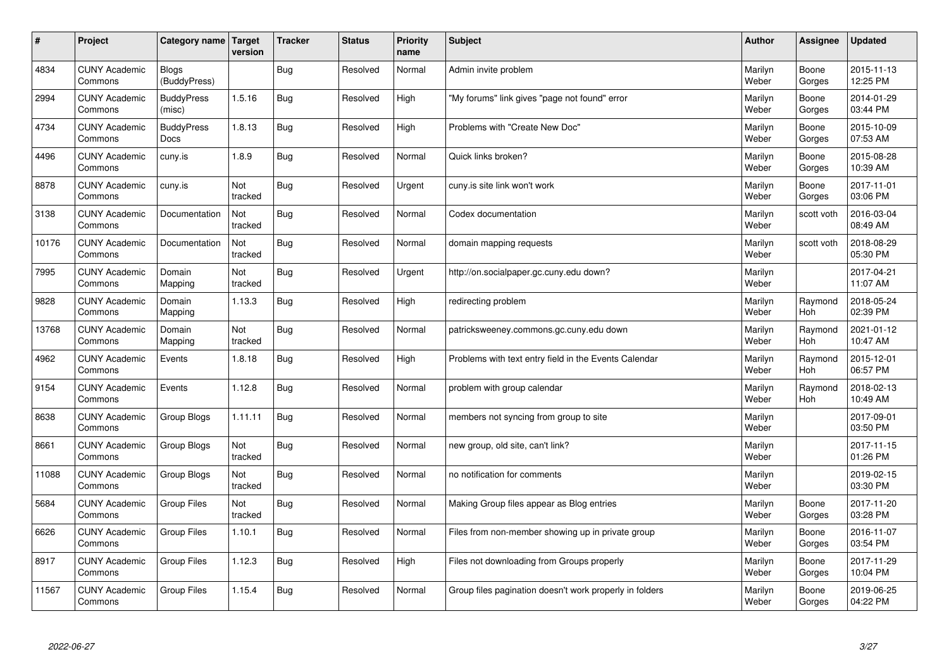| $\vert$ # | Project                         | Category name   Target           | version        | <b>Tracker</b> | <b>Status</b> | <b>Priority</b><br>name | <b>Subject</b>                                          | <b>Author</b>    | Assignee              | <b>Updated</b>         |
|-----------|---------------------------------|----------------------------------|----------------|----------------|---------------|-------------------------|---------------------------------------------------------|------------------|-----------------------|------------------------|
| 4834      | <b>CUNY Academic</b><br>Commons | <b>Blogs</b><br>(BuddyPress)     |                | <b>Bug</b>     | Resolved      | Normal                  | Admin invite problem                                    | Marilyn<br>Weber | Boone<br>Gorges       | 2015-11-13<br>12:25 PM |
| 2994      | <b>CUNY Academic</b><br>Commons | <b>BuddyPress</b><br>(misc)      | 1.5.16         | Bug            | Resolved      | High                    | "My forums" link gives "page not found" error           | Marilyn<br>Weber | Boone<br>Gorges       | 2014-01-29<br>03:44 PM |
| 4734      | <b>CUNY Academic</b><br>Commons | <b>BuddyPress</b><br><b>Docs</b> | 1.8.13         | <b>Bug</b>     | Resolved      | High                    | Problems with "Create New Doc"                          | Marilyn<br>Weber | Boone<br>Gorges       | 2015-10-09<br>07:53 AM |
| 4496      | <b>CUNY Academic</b><br>Commons | cuny.is                          | 1.8.9          | <b>Bug</b>     | Resolved      | Normal                  | Quick links broken?                                     | Marilyn<br>Weber | Boone<br>Gorges       | 2015-08-28<br>10:39 AM |
| 8878      | <b>CUNY Academic</b><br>Commons | cuny.is                          | Not<br>tracked | <b>Bug</b>     | Resolved      | Urgent                  | cuny.is site link won't work                            | Marilyn<br>Weber | Boone<br>Gorges       | 2017-11-01<br>03:06 PM |
| 3138      | <b>CUNY Academic</b><br>Commons | Documentation                    | Not<br>tracked | Bug            | Resolved      | Normal                  | Codex documentation                                     | Marilyn<br>Weber | scott voth            | 2016-03-04<br>08:49 AM |
| 10176     | <b>CUNY Academic</b><br>Commons | Documentation                    | Not<br>tracked | <b>Bug</b>     | Resolved      | Normal                  | domain mapping requests                                 | Marilyn<br>Weber | scott voth            | 2018-08-29<br>05:30 PM |
| 7995      | <b>CUNY Academic</b><br>Commons | Domain<br>Mapping                | Not<br>tracked | Bug            | Resolved      | Urgent                  | http://on.socialpaper.gc.cuny.edu down?                 | Marilyn<br>Weber |                       | 2017-04-21<br>11:07 AM |
| 9828      | <b>CUNY Academic</b><br>Commons | Domain<br>Mapping                | 1.13.3         | Bug            | Resolved      | High                    | redirecting problem                                     | Marilyn<br>Weber | Raymond<br>Hoh        | 2018-05-24<br>02:39 PM |
| 13768     | <b>CUNY Academic</b><br>Commons | Domain<br>Mapping                | Not<br>tracked | Bug            | Resolved      | Normal                  | patricksweeney.commons.gc.cuny.edu down                 | Marilyn<br>Weber | Raymond<br>Hoh        | 2021-01-12<br>10:47 AM |
| 4962      | <b>CUNY Academic</b><br>Commons | Events                           | 1.8.18         | <b>Bug</b>     | Resolved      | High                    | Problems with text entry field in the Events Calendar   | Marilyn<br>Weber | Raymond<br><b>Hoh</b> | 2015-12-01<br>06:57 PM |
| 9154      | <b>CUNY Academic</b><br>Commons | Events                           | 1.12.8         | Bug            | Resolved      | Normal                  | problem with group calendar                             | Marilyn<br>Weber | Raymond<br>Hoh        | 2018-02-13<br>10:49 AM |
| 8638      | <b>CUNY Academic</b><br>Commons | Group Blogs                      | 1.11.11        | <b>Bug</b>     | Resolved      | Normal                  | members not syncing from group to site                  | Marilyn<br>Weber |                       | 2017-09-01<br>03:50 PM |
| 8661      | <b>CUNY Academic</b><br>Commons | Group Blogs                      | Not<br>tracked | <b>Bug</b>     | Resolved      | Normal                  | new group, old site, can't link?                        | Marilyn<br>Weber |                       | 2017-11-15<br>01:26 PM |
| 11088     | <b>CUNY Academic</b><br>Commons | Group Blogs                      | Not<br>tracked | <b>Bug</b>     | Resolved      | Normal                  | no notification for comments                            | Marilyn<br>Weber |                       | 2019-02-15<br>03:30 PM |
| 5684      | <b>CUNY Academic</b><br>Commons | <b>Group Files</b>               | Not<br>tracked | <b>Bug</b>     | Resolved      | Normal                  | Making Group files appear as Blog entries               | Marilyn<br>Weber | Boone<br>Gorges       | 2017-11-20<br>03:28 PM |
| 6626      | <b>CUNY Academic</b><br>Commons | <b>Group Files</b>               | 1.10.1         | Bug            | Resolved      | Normal                  | Files from non-member showing up in private group       | Marilyn<br>Weber | Boone<br>Gorges       | 2016-11-07<br>03:54 PM |
| 8917      | <b>CUNY Academic</b><br>Commons | Group Files                      | 1.12.3         | <b>Bug</b>     | Resolved      | High                    | Files not downloading from Groups properly              | Marilyn<br>Weber | Boone<br>Gorges       | 2017-11-29<br>10:04 PM |
| 11567     | <b>CUNY Academic</b><br>Commons | Group Files                      | 1.15.4         | Bug            | Resolved      | Normal                  | Group files pagination doesn't work properly in folders | Marilyn<br>Weber | Boone<br>Gorges       | 2019-06-25<br>04:22 PM |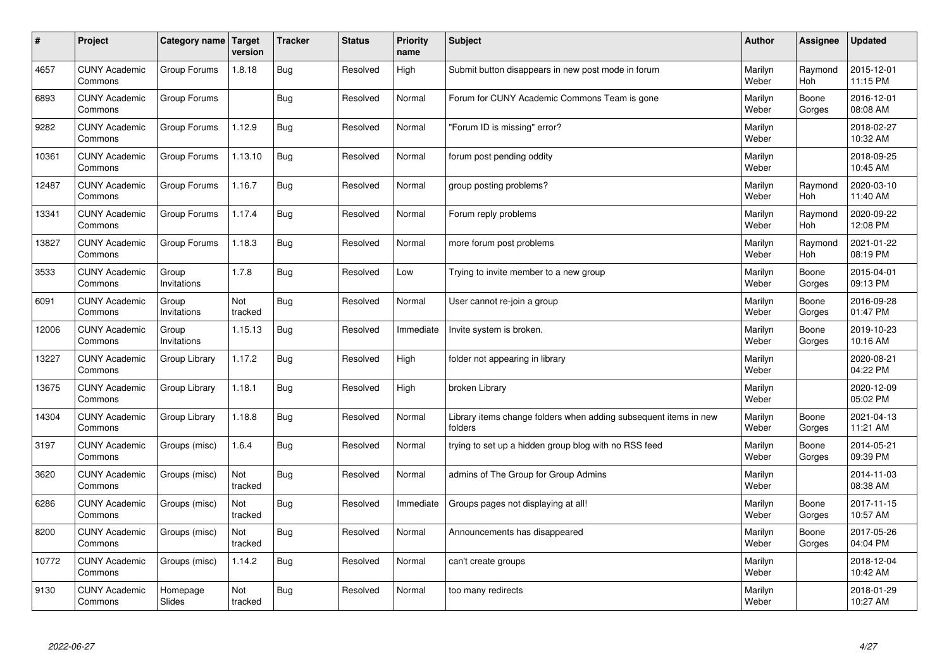| $\sharp$ | Project                         | Category name   Target | version        | <b>Tracker</b> | <b>Status</b> | <b>Priority</b><br>name | <b>Subject</b>                                                              | <b>Author</b>    | Assignee        | <b>Updated</b>         |
|----------|---------------------------------|------------------------|----------------|----------------|---------------|-------------------------|-----------------------------------------------------------------------------|------------------|-----------------|------------------------|
| 4657     | <b>CUNY Academic</b><br>Commons | Group Forums           | 1.8.18         | Bug            | Resolved      | High                    | Submit button disappears in new post mode in forum                          | Marilyn<br>Weber | Raymond<br>Hoh  | 2015-12-01<br>11:15 PM |
| 6893     | <b>CUNY Academic</b><br>Commons | Group Forums           |                | Bug            | Resolved      | Normal                  | Forum for CUNY Academic Commons Team is gone                                | Marilyn<br>Weber | Boone<br>Gorges | 2016-12-01<br>08:08 AM |
| 9282     | <b>CUNY Academic</b><br>Commons | Group Forums           | 1.12.9         | Bug            | Resolved      | Normal                  | 'Forum ID is missing" error?                                                | Marilyn<br>Weber |                 | 2018-02-27<br>10:32 AM |
| 10361    | <b>CUNY Academic</b><br>Commons | Group Forums           | 1.13.10        | Bug            | Resolved      | Normal                  | forum post pending oddity                                                   | Marilyn<br>Weber |                 | 2018-09-25<br>10:45 AM |
| 12487    | <b>CUNY Academic</b><br>Commons | Group Forums           | 1.16.7         | Bug            | Resolved      | Normal                  | group posting problems?                                                     | Marilyn<br>Weber | Raymond<br>Hoh  | 2020-03-10<br>11:40 AM |
| 13341    | <b>CUNY Academic</b><br>Commons | Group Forums           | 1.17.4         | Bug            | Resolved      | Normal                  | Forum reply problems                                                        | Marilyn<br>Weber | Raymond<br>Hoh  | 2020-09-22<br>12:08 PM |
| 13827    | <b>CUNY Academic</b><br>Commons | Group Forums           | 1.18.3         | <b>Bug</b>     | Resolved      | Normal                  | more forum post problems                                                    | Marilyn<br>Weber | Raymond<br>Hoh  | 2021-01-22<br>08:19 PM |
| 3533     | <b>CUNY Academic</b><br>Commons | Group<br>Invitations   | 1.7.8          | Bug            | Resolved      | Low                     | Trying to invite member to a new group                                      | Marilyn<br>Weber | Boone<br>Gorges | 2015-04-01<br>09:13 PM |
| 6091     | <b>CUNY Academic</b><br>Commons | Group<br>Invitations   | Not<br>tracked | Bug            | Resolved      | Normal                  | User cannot re-join a group                                                 | Marilyn<br>Weber | Boone<br>Gorges | 2016-09-28<br>01:47 PM |
| 12006    | <b>CUNY Academic</b><br>Commons | Group<br>Invitations   | 1.15.13        | Bug            | Resolved      | Immediate               | Invite system is broken.                                                    | Marilyn<br>Weber | Boone<br>Gorges | 2019-10-23<br>10:16 AM |
| 13227    | <b>CUNY Academic</b><br>Commons | Group Library          | 1.17.2         | Bug            | Resolved      | High                    | folder not appearing in library                                             | Marilyn<br>Weber |                 | 2020-08-21<br>04:22 PM |
| 13675    | <b>CUNY Academic</b><br>Commons | Group Library          | 1.18.1         | <b>Bug</b>     | Resolved      | High                    | broken Library                                                              | Marilyn<br>Weber |                 | 2020-12-09<br>05:02 PM |
| 14304    | <b>CUNY Academic</b><br>Commons | Group Library          | 1.18.8         | Bug            | Resolved      | Normal                  | Library items change folders when adding subsequent items in new<br>folders | Marilyn<br>Weber | Boone<br>Gorges | 2021-04-13<br>11:21 AM |
| 3197     | <b>CUNY Academic</b><br>Commons | Groups (misc)          | 1.6.4          | Bug            | Resolved      | Normal                  | trying to set up a hidden group blog with no RSS feed                       | Marilyn<br>Weber | Boone<br>Gorges | 2014-05-21<br>09:39 PM |
| 3620     | <b>CUNY Academic</b><br>Commons | Groups (misc)          | Not<br>tracked | Bug            | Resolved      | Normal                  | admins of The Group for Group Admins                                        | Marilyn<br>Weber |                 | 2014-11-03<br>08:38 AM |
| 6286     | <b>CUNY Academic</b><br>Commons | Groups (misc)          | Not<br>tracked | Bug            | Resolved      | Immediate               | Groups pages not displaying at all!                                         | Marilyn<br>Weber | Boone<br>Gorges | 2017-11-15<br>10:57 AM |
| 8200     | <b>CUNY Academic</b><br>Commons | Groups (misc)          | Not<br>tracked | Bug            | Resolved      | Normal                  | Announcements has disappeared                                               | Marilyn<br>Weber | Boone<br>Gorges | 2017-05-26<br>04:04 PM |
| 10772    | <b>CUNY Academic</b><br>Commons | Groups (misc)          | 1.14.2         | Bug            | Resolved      | Normal                  | can't create groups                                                         | Marilyn<br>Weber |                 | 2018-12-04<br>10:42 AM |
| 9130     | <b>CUNY Academic</b><br>Commons | Homepage<br>Slides     | Not<br>tracked | Bug            | Resolved      | Normal                  | too many redirects                                                          | Marilyn<br>Weber |                 | 2018-01-29<br>10:27 AM |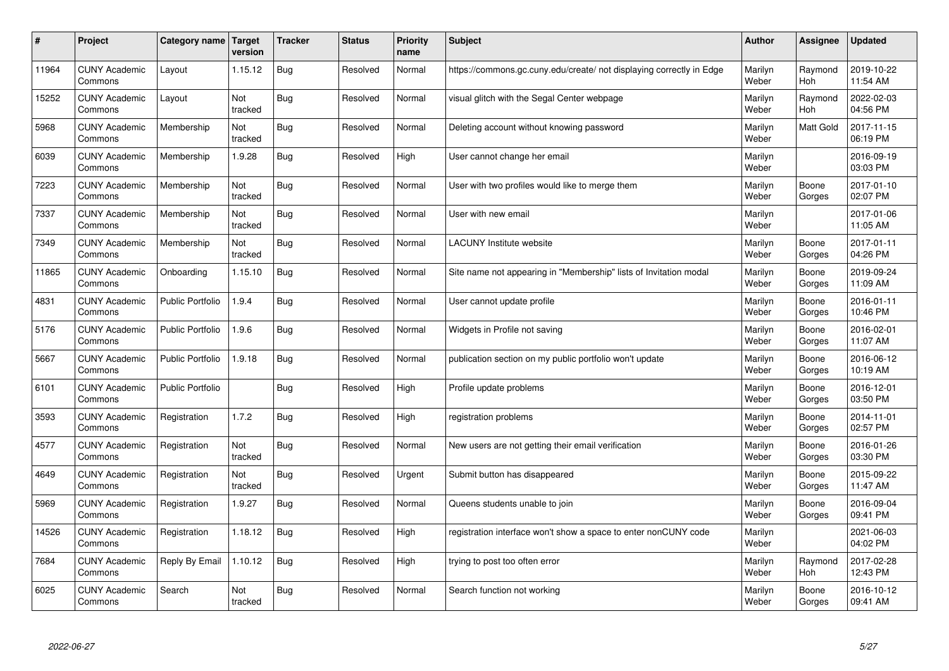| $\sharp$ | Project                         | Category name   Target  | version        | <b>Tracker</b> | <b>Status</b> | Priority<br>name | <b>Subject</b>                                                       | <b>Author</b>    | <b>Assignee</b>       | <b>Updated</b>         |
|----------|---------------------------------|-------------------------|----------------|----------------|---------------|------------------|----------------------------------------------------------------------|------------------|-----------------------|------------------------|
| 11964    | <b>CUNY Academic</b><br>Commons | Layout                  | 1.15.12        | <b>Bug</b>     | Resolved      | Normal           | https://commons.gc.cuny.edu/create/ not displaying correctly in Edge | Marilyn<br>Weber | Raymond<br><b>Hoh</b> | 2019-10-22<br>11:54 AM |
| 15252    | <b>CUNY Academic</b><br>Commons | Layout                  | Not<br>tracked | <b>Bug</b>     | Resolved      | Normal           | visual glitch with the Segal Center webpage                          | Marilyn<br>Weber | Raymond<br>Hoh        | 2022-02-03<br>04:56 PM |
| 5968     | <b>CUNY Academic</b><br>Commons | Membership              | Not<br>tracked | Bug            | Resolved      | Normal           | Deleting account without knowing password                            | Marilyn<br>Weber | <b>Matt Gold</b>      | 2017-11-15<br>06:19 PM |
| 6039     | <b>CUNY Academic</b><br>Commons | Membership              | 1.9.28         | Bug            | Resolved      | High             | User cannot change her email                                         | Marilyn<br>Weber |                       | 2016-09-19<br>03:03 PM |
| 7223     | <b>CUNY Academic</b><br>Commons | Membership              | Not<br>tracked | Bug            | Resolved      | Normal           | User with two profiles would like to merge them                      | Marilyn<br>Weber | Boone<br>Gorges       | 2017-01-10<br>02:07 PM |
| 7337     | <b>CUNY Academic</b><br>Commons | Membership              | Not<br>tracked | Bug            | Resolved      | Normal           | User with new email                                                  | Marilyn<br>Weber |                       | 2017-01-06<br>11:05 AM |
| 7349     | <b>CUNY Academic</b><br>Commons | Membership              | Not<br>tracked | Bug            | Resolved      | Normal           | <b>LACUNY</b> Institute website                                      | Marilyn<br>Weber | Boone<br>Gorges       | 2017-01-11<br>04:26 PM |
| 11865    | <b>CUNY Academic</b><br>Commons | Onboarding              | 1.15.10        | <b>Bug</b>     | Resolved      | Normal           | Site name not appearing in "Membership" lists of Invitation modal    | Marilyn<br>Weber | Boone<br>Gorges       | 2019-09-24<br>11:09 AM |
| 4831     | <b>CUNY Academic</b><br>Commons | <b>Public Portfolio</b> | 1.9.4          | Bug            | Resolved      | Normal           | User cannot update profile                                           | Marilyn<br>Weber | Boone<br>Gorges       | 2016-01-11<br>10:46 PM |
| 5176     | <b>CUNY Academic</b><br>Commons | <b>Public Portfolio</b> | 1.9.6          | Bug            | Resolved      | Normal           | Widgets in Profile not saving                                        | Marilyn<br>Weber | Boone<br>Gorges       | 2016-02-01<br>11:07 AM |
| 5667     | <b>CUNY Academic</b><br>Commons | <b>Public Portfolio</b> | 1.9.18         | Bug            | Resolved      | Normal           | publication section on my public portfolio won't update              | Marilyn<br>Weber | Boone<br>Gorges       | 2016-06-12<br>10:19 AM |
| 6101     | <b>CUNY Academic</b><br>Commons | <b>Public Portfolio</b> |                | Bug            | Resolved      | High             | Profile update problems                                              | Marilyn<br>Weber | Boone<br>Gorges       | 2016-12-01<br>03:50 PM |
| 3593     | <b>CUNY Academic</b><br>Commons | Registration            | 1.7.2          | <b>Bug</b>     | Resolved      | High             | registration problems                                                | Marilyn<br>Weber | Boone<br>Gorges       | 2014-11-01<br>02:57 PM |
| 4577     | <b>CUNY Academic</b><br>Commons | Registration            | Not<br>tracked | <b>Bug</b>     | Resolved      | Normal           | New users are not getting their email verification                   | Marilyn<br>Weber | Boone<br>Gorges       | 2016-01-26<br>03:30 PM |
| 4649     | <b>CUNY Academic</b><br>Commons | Registration            | Not<br>tracked | Bug            | Resolved      | Urgent           | Submit button has disappeared                                        | Marilyn<br>Weber | Boone<br>Gorges       | 2015-09-22<br>11:47 AM |
| 5969     | <b>CUNY Academic</b><br>Commons | Registration            | 1.9.27         | <b>Bug</b>     | Resolved      | Normal           | Queens students unable to join                                       | Marilyn<br>Weber | Boone<br>Gorges       | 2016-09-04<br>09:41 PM |
| 14526    | <b>CUNY Academic</b><br>Commons | Registration            | 1.18.12        | Bug            | Resolved      | High             | registration interface won't show a space to enter nonCUNY code      | Marilyn<br>Weber |                       | 2021-06-03<br>04:02 PM |
| 7684     | <b>CUNY Academic</b><br>Commons | Reply By Email          | 1.10.12        | Bug            | Resolved      | High             | trying to post too often error                                       | Marilyn<br>Weber | Raymond<br>Hoh        | 2017-02-28<br>12:43 PM |
| 6025     | <b>CUNY Academic</b><br>Commons | Search                  | Not<br>tracked | Bug            | Resolved      | Normal           | Search function not working                                          | Marilyn<br>Weber | Boone<br>Gorges       | 2016-10-12<br>09:41 AM |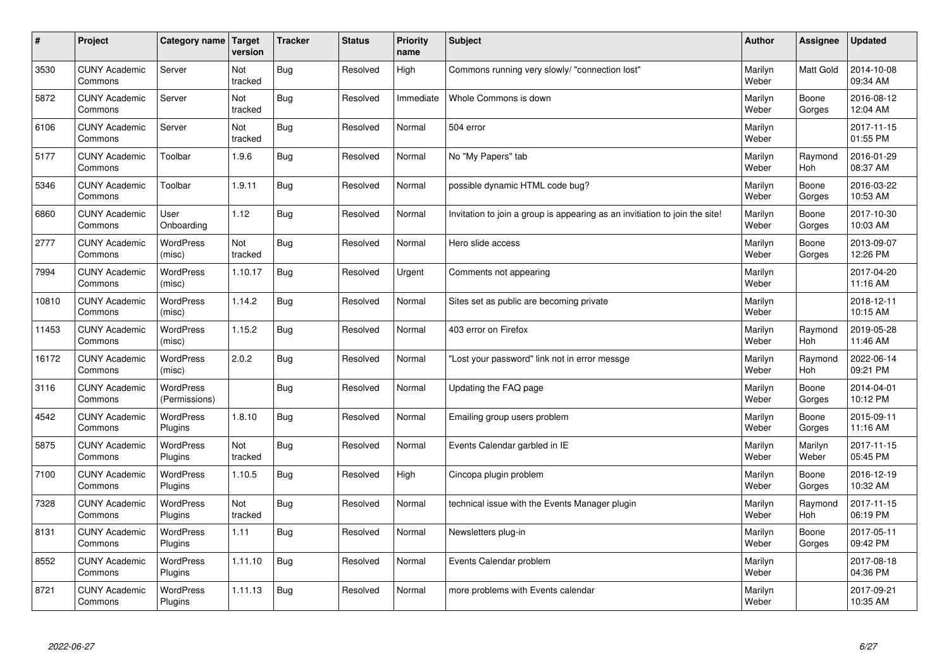| $\vert$ # | Project                         | Category name   Target            | version        | <b>Tracker</b> | <b>Status</b> | Priority<br>name | <b>Subject</b>                                                              | <b>Author</b>    | Assignee              | <b>Updated</b>         |
|-----------|---------------------------------|-----------------------------------|----------------|----------------|---------------|------------------|-----------------------------------------------------------------------------|------------------|-----------------------|------------------------|
| 3530      | <b>CUNY Academic</b><br>Commons | Server                            | Not<br>tracked | Bug            | Resolved      | High             | Commons running very slowly/ "connection lost"                              | Marilyn<br>Weber | <b>Matt Gold</b>      | 2014-10-08<br>09:34 AM |
| 5872      | <b>CUNY Academic</b><br>Commons | Server                            | Not<br>tracked | Bug            | Resolved      | Immediate        | Whole Commons is down                                                       | Marilyn<br>Weber | Boone<br>Gorges       | 2016-08-12<br>12:04 AM |
| 6106      | <b>CUNY Academic</b><br>Commons | Server                            | Not<br>tracked | Bug            | Resolved      | Normal           | 504 error                                                                   | Marilyn<br>Weber |                       | 2017-11-15<br>01:55 PM |
| 5177      | <b>CUNY Academic</b><br>Commons | Toolbar                           | 1.9.6          | Bug            | Resolved      | Normal           | No "My Papers" tab                                                          | Marilyn<br>Weber | Raymond<br><b>Hoh</b> | 2016-01-29<br>08:37 AM |
| 5346      | <b>CUNY Academic</b><br>Commons | Toolbar                           | 1.9.11         | Bug            | Resolved      | Normal           | possible dynamic HTML code bug?                                             | Marilyn<br>Weber | Boone<br>Gorges       | 2016-03-22<br>10:53 AM |
| 6860      | <b>CUNY Academic</b><br>Commons | User<br>Onboarding                | 1.12           | Bug            | Resolved      | Normal           | Invitation to join a group is appearing as an invitiation to join the site! | Marilyn<br>Weber | Boone<br>Gorges       | 2017-10-30<br>10:03 AM |
| 2777      | <b>CUNY Academic</b><br>Commons | <b>WordPress</b><br>(misc)        | Not<br>tracked | Bug            | Resolved      | Normal           | Hero slide access                                                           | Marilyn<br>Weber | Boone<br>Gorges       | 2013-09-07<br>12:26 PM |
| 7994      | <b>CUNY Academic</b><br>Commons | WordPress<br>(misc)               | 1.10.17        | Bug            | Resolved      | Urgent           | Comments not appearing                                                      | Marilyn<br>Weber |                       | 2017-04-20<br>11:16 AM |
| 10810     | <b>CUNY Academic</b><br>Commons | <b>WordPress</b><br>(misc)        | 1.14.2         | Bug            | Resolved      | Normal           | Sites set as public are becoming private                                    | Marilyn<br>Weber |                       | 2018-12-11<br>10:15 AM |
| 11453     | <b>CUNY Academic</b><br>Commons | <b>WordPress</b><br>(misc)        | 1.15.2         | <b>Bug</b>     | Resolved      | Normal           | 403 error on Firefox                                                        | Marilyn<br>Weber | Raymond<br>Hoh        | 2019-05-28<br>11:46 AM |
| 16172     | <b>CUNY Academic</b><br>Commons | <b>WordPress</b><br>(misc)        | 2.0.2          | <b>Bug</b>     | Resolved      | Normal           | 'Lost your password" link not in error messge                               | Marilyn<br>Weber | Raymond<br><b>Hoh</b> | 2022-06-14<br>09:21 PM |
| 3116      | <b>CUNY Academic</b><br>Commons | <b>WordPress</b><br>(Permissions) |                | <b>Bug</b>     | Resolved      | Normal           | Updating the FAQ page                                                       | Marilyn<br>Weber | Boone<br>Gorges       | 2014-04-01<br>10:12 PM |
| 4542      | <b>CUNY Academic</b><br>Commons | <b>WordPress</b><br>Plugins       | 1.8.10         | Bug            | Resolved      | Normal           | Emailing group users problem                                                | Marilyn<br>Weber | Boone<br>Gorges       | 2015-09-11<br>11:16 AM |
| 5875      | <b>CUNY Academic</b><br>Commons | WordPress<br>Plugins              | Not<br>tracked | Bug            | Resolved      | Normal           | Events Calendar garbled in IE                                               | Marilyn<br>Weber | Marilyn<br>Weber      | 2017-11-15<br>05:45 PM |
| 7100      | <b>CUNY Academic</b><br>Commons | <b>WordPress</b><br>Plugins       | 1.10.5         | Bug            | Resolved      | High             | Cincopa plugin problem                                                      | Marilyn<br>Weber | Boone<br>Gorges       | 2016-12-19<br>10:32 AM |
| 7328      | <b>CUNY Academic</b><br>Commons | WordPress<br>Plugins              | Not<br>tracked | Bug            | Resolved      | Normal           | technical issue with the Events Manager plugin                              | Marilyn<br>Weber | Raymond<br><b>Hoh</b> | 2017-11-15<br>06:19 PM |
| 8131      | <b>CUNY Academic</b><br>Commons | WordPress<br>Plugins              | 1.11           | Bug            | Resolved      | Normal           | Newsletters plug-in                                                         | Marilyn<br>Weber | Boone<br>Gorges       | 2017-05-11<br>09:42 PM |
| 8552      | <b>CUNY Academic</b><br>Commons | WordPress<br>Plugins              | 1.11.10        | Bug            | Resolved      | Normal           | Events Calendar problem                                                     | Marilyn<br>Weber |                       | 2017-08-18<br>04:36 PM |
| 8721      | <b>CUNY Academic</b><br>Commons | WordPress<br>Plugins              | 1.11.13        | Bug            | Resolved      | Normal           | more problems with Events calendar                                          | Marilyn<br>Weber |                       | 2017-09-21<br>10:35 AM |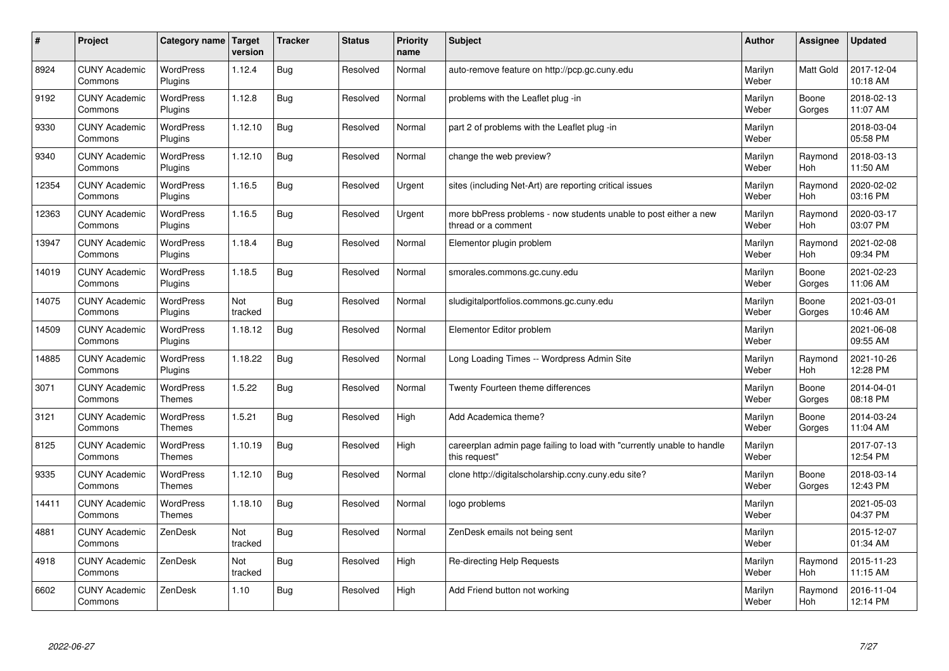| #     | Project                         | Category name   Target            | version        | <b>Tracker</b> | <b>Status</b> | Priority<br>name | <b>Subject</b>                                                                          | <b>Author</b>    | Assignee         | <b>Updated</b>         |
|-------|---------------------------------|-----------------------------------|----------------|----------------|---------------|------------------|-----------------------------------------------------------------------------------------|------------------|------------------|------------------------|
| 8924  | <b>CUNY Academic</b><br>Commons | <b>WordPress</b><br>Plugins       | 1.12.4         | Bug            | Resolved      | Normal           | auto-remove feature on http://pcp.gc.cuny.edu                                           | Marilyn<br>Weber | <b>Matt Gold</b> | 2017-12-04<br>10:18 AM |
| 9192  | <b>CUNY Academic</b><br>Commons | <b>WordPress</b><br>Plugins       | 1.12.8         | Bug            | Resolved      | Normal           | problems with the Leaflet plug -in                                                      | Marilyn<br>Weber | Boone<br>Gorges  | 2018-02-13<br>11:07 AM |
| 9330  | <b>CUNY Academic</b><br>Commons | <b>WordPress</b><br>Plugins       | 1.12.10        | Bug            | Resolved      | Normal           | part 2 of problems with the Leaflet plug -in                                            | Marilyn<br>Weber |                  | 2018-03-04<br>05:58 PM |
| 9340  | <b>CUNY Academic</b><br>Commons | <b>WordPress</b><br>Plugins       | 1.12.10        | Bug            | Resolved      | Normal           | change the web preview?                                                                 | Marilyn<br>Weber | Raymond<br>Hoh   | 2018-03-13<br>11:50 AM |
| 12354 | <b>CUNY Academic</b><br>Commons | <b>WordPress</b><br>Plugins       | 1.16.5         | <b>Bug</b>     | Resolved      | Urgent           | sites (including Net-Art) are reporting critical issues                                 | Marilyn<br>Weber | Raymond<br>Hoh   | 2020-02-02<br>03:16 PM |
| 12363 | <b>CUNY Academic</b><br>Commons | WordPress<br>Plugins              | 1.16.5         | Bug            | Resolved      | Urgent           | more bbPress problems - now students unable to post either a new<br>thread or a comment | Marilyn<br>Weber | Raymond<br>Hoh   | 2020-03-17<br>03:07 PM |
| 13947 | <b>CUNY Academic</b><br>Commons | <b>WordPress</b><br>Plugins       | 1.18.4         | <b>Bug</b>     | Resolved      | Normal           | Elementor plugin problem                                                                | Marilyn<br>Weber | Raymond<br>Hoh   | 2021-02-08<br>09:34 PM |
| 14019 | <b>CUNY Academic</b><br>Commons | WordPress<br>Plugins              | 1.18.5         | Bug            | Resolved      | Normal           | smorales.commons.gc.cuny.edu                                                            | Marilyn<br>Weber | Boone<br>Gorges  | 2021-02-23<br>11:06 AM |
| 14075 | <b>CUNY Academic</b><br>Commons | <b>WordPress</b><br>Plugins       | Not<br>tracked | Bug            | Resolved      | Normal           | sludigitalportfolios.commons.gc.cuny.edu                                                | Marilyn<br>Weber | Boone<br>Gorges  | 2021-03-01<br>10:46 AM |
| 14509 | <b>CUNY Academic</b><br>Commons | WordPress<br>Plugins              | 1.18.12        | Bug            | Resolved      | Normal           | Elementor Editor problem                                                                | Marilyn<br>Weber |                  | 2021-06-08<br>09:55 AM |
| 14885 | <b>CUNY Academic</b><br>Commons | <b>WordPress</b><br>Plugins       | 1.18.22        | Bug            | Resolved      | Normal           | Long Loading Times -- Wordpress Admin Site                                              | Marilyn<br>Weber | Raymond<br>Hoh   | 2021-10-26<br>12:28 PM |
| 3071  | <b>CUNY Academic</b><br>Commons | <b>WordPress</b><br><b>Themes</b> | 1.5.22         | Bug            | Resolved      | Normal           | Twenty Fourteen theme differences                                                       | Marilyn<br>Weber | Boone<br>Gorges  | 2014-04-01<br>08:18 PM |
| 3121  | <b>CUNY Academic</b><br>Commons | WordPress<br><b>Themes</b>        | 1.5.21         | Bug            | Resolved      | High             | Add Academica theme?                                                                    | Marilyn<br>Weber | Boone<br>Gorges  | 2014-03-24<br>11:04 AM |
| 8125  | <b>CUNY Academic</b><br>Commons | WordPress<br><b>Themes</b>        | 1.10.19        | Bug            | Resolved      | High             | careerplan admin page failing to load with "currently unable to handle<br>this request" | Marilyn<br>Weber |                  | 2017-07-13<br>12:54 PM |
| 9335  | <b>CUNY Academic</b><br>Commons | <b>WordPress</b><br><b>Themes</b> | 1.12.10        | Bug            | Resolved      | Normal           | clone http://digitalscholarship.ccny.cuny.edu site?                                     | Marilyn<br>Weber | Boone<br>Gorges  | 2018-03-14<br>12:43 PM |
| 14411 | <b>CUNY Academic</b><br>Commons | <b>WordPress</b><br><b>Themes</b> | 1.18.10        | Bug            | Resolved      | Normal           | logo problems                                                                           | Marilyn<br>Weber |                  | 2021-05-03<br>04:37 PM |
| 4881  | <b>CUNY Academic</b><br>Commons | ZenDesk                           | Not<br>tracked | Bug            | Resolved      | Normal           | ZenDesk emails not being sent                                                           | Marilyn<br>Weber |                  | 2015-12-07<br>01:34 AM |
| 4918  | <b>CUNY Academic</b><br>Commons | ZenDesk                           | Not<br>tracked | Bug            | Resolved      | High             | Re-directing Help Requests                                                              | Marilyn<br>Weber | Raymond<br>Hoh   | 2015-11-23<br>11:15 AM |
| 6602  | <b>CUNY Academic</b><br>Commons | ZenDesk                           | 1.10           | <b>Bug</b>     | Resolved      | High             | Add Friend button not working                                                           | Marilyn<br>Weber | Raymond<br>Hoh   | 2016-11-04<br>12:14 PM |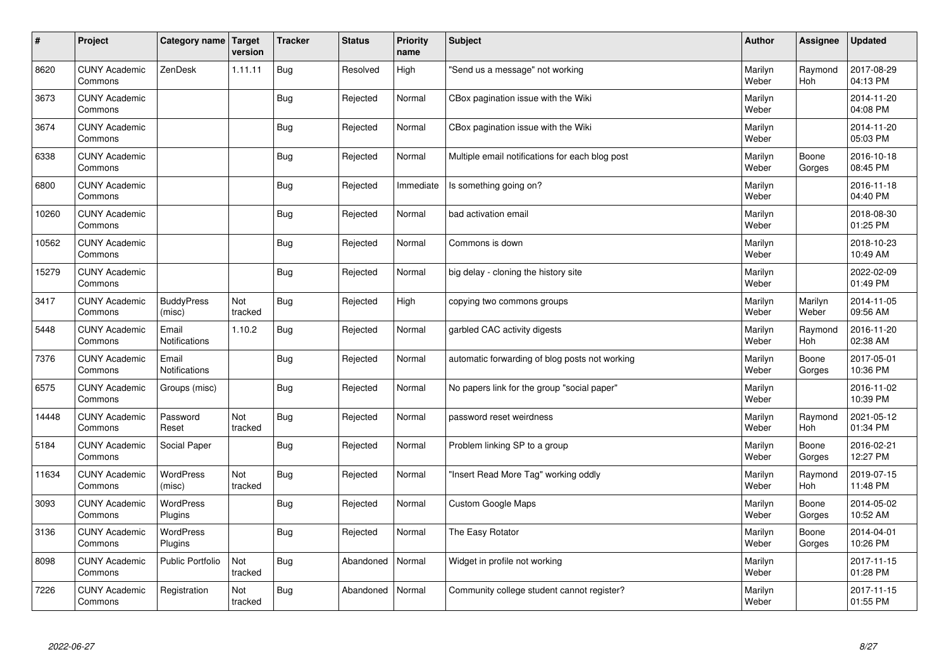| $\vert$ # | Project                         | Category name   Target        | version        | <b>Tracker</b> | <b>Status</b> | <b>Priority</b><br>name | <b>Subject</b>                                  | <b>Author</b>    | Assignee         | <b>Updated</b>         |
|-----------|---------------------------------|-------------------------------|----------------|----------------|---------------|-------------------------|-------------------------------------------------|------------------|------------------|------------------------|
| 8620      | <b>CUNY Academic</b><br>Commons | ZenDesk                       | 1.11.11        | Bug            | Resolved      | High                    | 'Send us a message" not working                 | Marilyn<br>Weber | Raymond<br>Hoh   | 2017-08-29<br>04:13 PM |
| 3673      | <b>CUNY Academic</b><br>Commons |                               |                | Bug            | Rejected      | Normal                  | CBox pagination issue with the Wiki             | Marilyn<br>Weber |                  | 2014-11-20<br>04:08 PM |
| 3674      | <b>CUNY Academic</b><br>Commons |                               |                | Bug            | Rejected      | Normal                  | CBox pagination issue with the Wiki             | Marilyn<br>Weber |                  | 2014-11-20<br>05:03 PM |
| 6338      | <b>CUNY Academic</b><br>Commons |                               |                | Bug            | Rejected      | Normal                  | Multiple email notifications for each blog post | Marilyn<br>Weber | Boone<br>Gorges  | 2016-10-18<br>08:45 PM |
| 6800      | <b>CUNY Academic</b><br>Commons |                               |                | Bug            | Rejected      | Immediate               | Is something going on?                          | Marilyn<br>Weber |                  | 2016-11-18<br>04:40 PM |
| 10260     | <b>CUNY Academic</b><br>Commons |                               |                | Bug            | Rejected      | Normal                  | bad activation email                            | Marilyn<br>Weber |                  | 2018-08-30<br>01:25 PM |
| 10562     | <b>CUNY Academic</b><br>Commons |                               |                | Bug            | Rejected      | Normal                  | Commons is down                                 | Marilyn<br>Weber |                  | 2018-10-23<br>10:49 AM |
| 15279     | <b>CUNY Academic</b><br>Commons |                               |                | Bug            | Rejected      | Normal                  | big delay - cloning the history site            | Marilyn<br>Weber |                  | 2022-02-09<br>01:49 PM |
| 3417      | <b>CUNY Academic</b><br>Commons | <b>BuddyPress</b><br>(misc)   | Not<br>tracked | Bug            | Rejected      | High                    | copying two commons groups                      | Marilyn<br>Weber | Marilyn<br>Weber | 2014-11-05<br>09:56 AM |
| 5448      | <b>CUNY Academic</b><br>Commons | Email<br><b>Notifications</b> | 1.10.2         | <b>Bug</b>     | Rejected      | Normal                  | garbled CAC activity digests                    | Marilyn<br>Weber | Raymond<br>Hoh   | 2016-11-20<br>02:38 AM |
| 7376      | <b>CUNY Academic</b><br>Commons | Email<br><b>Notifications</b> |                | <b>Bug</b>     | Rejected      | Normal                  | automatic forwarding of blog posts not working  | Marilyn<br>Weber | Boone<br>Gorges  | 2017-05-01<br>10:36 PM |
| 6575      | <b>CUNY Academic</b><br>Commons | Groups (misc)                 |                | Bug            | Rejected      | Normal                  | No papers link for the group "social paper"     | Marilyn<br>Weber |                  | 2016-11-02<br>10:39 PM |
| 14448     | <b>CUNY Academic</b><br>Commons | Password<br>Reset             | Not<br>tracked | Bug            | Rejected      | Normal                  | password reset weirdness                        | Marilyn<br>Weber | Raymond<br>Hoh   | 2021-05-12<br>01:34 PM |
| 5184      | <b>CUNY Academic</b><br>Commons | Social Paper                  |                | Bug            | Rejected      | Normal                  | Problem linking SP to a group                   | Marilyn<br>Weber | Boone<br>Gorges  | 2016-02-21<br>12:27 PM |
| 11634     | <b>CUNY Academic</b><br>Commons | <b>WordPress</b><br>(misc)    | Not<br>tracked | Bug            | Rejected      | Normal                  | 'Insert Read More Tag" working oddly            | Marilyn<br>Weber | Raymond<br>Hoh   | 2019-07-15<br>11:48 PM |
| 3093      | <b>CUNY Academic</b><br>Commons | <b>WordPress</b><br>Plugins   |                | Bug            | Rejected      | Normal                  | <b>Custom Google Maps</b>                       | Marilyn<br>Weber | Boone<br>Gorges  | 2014-05-02<br>10:52 AM |
| 3136      | <b>CUNY Academic</b><br>Commons | WordPress<br>Plugins          |                | Bug            | Rejected      | Normal                  | The Easy Rotator                                | Marilyn<br>Weber | Boone<br>Gorges  | 2014-04-01<br>10:26 PM |
| 8098      | <b>CUNY Academic</b><br>Commons | Public Portfolio              | Not<br>tracked | Bug            | Abandoned     | Normal                  | Widget in profile not working                   | Marilyn<br>Weber |                  | 2017-11-15<br>01:28 PM |
| 7226      | <b>CUNY Academic</b><br>Commons | Registration                  | Not<br>tracked | <b>Bug</b>     | Abandoned     | Normal                  | Community college student cannot register?      | Marilyn<br>Weber |                  | 2017-11-15<br>01:55 PM |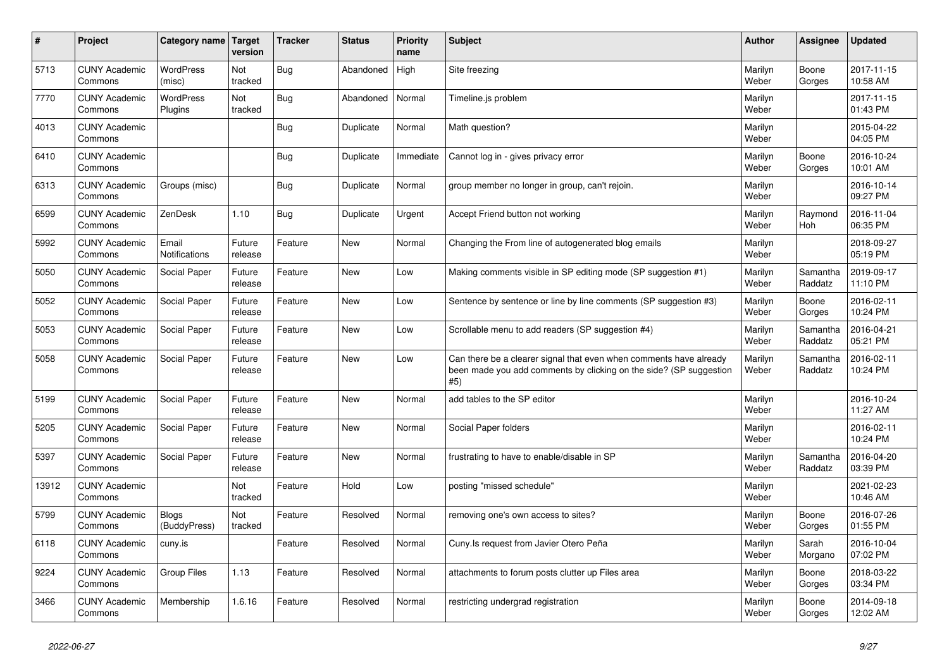| $\vert$ # | Project                         | Category name   Target        | version           | <b>Tracker</b> | <b>Status</b> | Priority<br>name | <b>Subject</b>                                                                                                                                  | Author           | <b>Assignee</b>     | <b>Updated</b>         |
|-----------|---------------------------------|-------------------------------|-------------------|----------------|---------------|------------------|-------------------------------------------------------------------------------------------------------------------------------------------------|------------------|---------------------|------------------------|
| 5713      | <b>CUNY Academic</b><br>Commons | <b>WordPress</b><br>(misc)    | Not<br>tracked    | Bug            | Abandoned     | High             | Site freezing                                                                                                                                   | Marilyn<br>Weber | Boone<br>Gorges     | 2017-11-15<br>10:58 AM |
| 7770      | <b>CUNY Academic</b><br>Commons | WordPress<br>Plugins          | Not<br>tracked    | Bug            | Abandoned     | Normal           | Timeline.js problem                                                                                                                             | Marilyn<br>Weber |                     | 2017-11-15<br>01:43 PM |
| 4013      | <b>CUNY Academic</b><br>Commons |                               |                   | Bug            | Duplicate     | Normal           | Math question?                                                                                                                                  | Marilyn<br>Weber |                     | 2015-04-22<br>04:05 PM |
| 6410      | <b>CUNY Academic</b><br>Commons |                               |                   | <b>Bug</b>     | Duplicate     | Immediate        | Cannot log in - gives privacy error                                                                                                             | Marilyn<br>Weber | Boone<br>Gorges     | 2016-10-24<br>10:01 AM |
| 6313      | <b>CUNY Academic</b><br>Commons | Groups (misc)                 |                   | <b>Bug</b>     | Duplicate     | Normal           | group member no longer in group, can't rejoin.                                                                                                  | Marilyn<br>Weber |                     | 2016-10-14<br>09:27 PM |
| 6599      | <b>CUNY Academic</b><br>Commons | ZenDesk                       | 1.10              | Bug            | Duplicate     | Urgent           | Accept Friend button not working                                                                                                                | Marilyn<br>Weber | Raymond<br>Hoh      | 2016-11-04<br>06:35 PM |
| 5992      | <b>CUNY Academic</b><br>Commons | Email<br><b>Notifications</b> | Future<br>release | Feature        | <b>New</b>    | Normal           | Changing the From line of autogenerated blog emails                                                                                             | Marilyn<br>Weber |                     | 2018-09-27<br>05:19 PM |
| 5050      | <b>CUNY Academic</b><br>Commons | Social Paper                  | Future<br>release | Feature        | <b>New</b>    | Low              | Making comments visible in SP editing mode (SP suggestion #1)                                                                                   | Marilyn<br>Weber | Samantha<br>Raddatz | 2019-09-17<br>11:10 PM |
| 5052      | <b>CUNY Academic</b><br>Commons | Social Paper                  | Future<br>release | Feature        | <b>New</b>    | Low              | Sentence by sentence or line by line comments (SP suggestion #3)                                                                                | Marilyn<br>Weber | Boone<br>Gorges     | 2016-02-11<br>10:24 PM |
| 5053      | <b>CUNY Academic</b><br>Commons | Social Paper                  | Future<br>release | Feature        | <b>New</b>    | Low              | Scrollable menu to add readers (SP suggestion #4)                                                                                               | Marilyn<br>Weber | Samantha<br>Raddatz | 2016-04-21<br>05:21 PM |
| 5058      | <b>CUNY Academic</b><br>Commons | Social Paper                  | Future<br>release | Feature        | <b>New</b>    | Low              | Can there be a clearer signal that even when comments have already<br>been made you add comments by clicking on the side? (SP suggestion<br>#5) | Marilyn<br>Weber | Samantha<br>Raddatz | 2016-02-11<br>10:24 PM |
| 5199      | <b>CUNY Academic</b><br>Commons | Social Paper                  | Future<br>release | Feature        | <b>New</b>    | Normal           | add tables to the SP editor                                                                                                                     | Marilyn<br>Weber |                     | 2016-10-24<br>11:27 AM |
| 5205      | <b>CUNY Academic</b><br>Commons | Social Paper                  | Future<br>release | Feature        | <b>New</b>    | Normal           | Social Paper folders                                                                                                                            | Marilyn<br>Weber |                     | 2016-02-11<br>10:24 PM |
| 5397      | <b>CUNY Academic</b><br>Commons | Social Paper                  | Future<br>release | Feature        | New           | Normal           | frustrating to have to enable/disable in SP                                                                                                     | Marilyn<br>Weber | Samantha<br>Raddatz | 2016-04-20<br>03:39 PM |
| 13912     | <b>CUNY Academic</b><br>Commons |                               | Not<br>tracked    | Feature        | Hold          | Low              | posting "missed schedule"                                                                                                                       | Marilyn<br>Weber |                     | 2021-02-23<br>10:46 AM |
| 5799      | <b>CUNY Academic</b><br>Commons | <b>Blogs</b><br>(BuddyPress)  | Not<br>tracked    | Feature        | Resolved      | Normal           | removing one's own access to sites?                                                                                                             | Marilyn<br>Weber | Boone<br>Gorges     | 2016-07-26<br>01:55 PM |
| 6118      | <b>CUNY Academic</b><br>Commons | cuny.is                       |                   | Feature        | Resolved      | Normal           | Cuny.Is request from Javier Otero Peña                                                                                                          | Marilyn<br>Weber | Sarah<br>Morgano    | 2016-10-04<br>07:02 PM |
| 9224      | <b>CUNY Academic</b><br>Commons | <b>Group Files</b>            | 1.13              | Feature        | Resolved      | Normal           | attachments to forum posts clutter up Files area                                                                                                | Marilyn<br>Weber | Boone<br>Gorges     | 2018-03-22<br>03:34 PM |
| 3466      | <b>CUNY Academic</b><br>Commons | Membership                    | 1.6.16            | Feature        | Resolved      | Normal           | restricting undergrad registration                                                                                                              | Marilyn<br>Weber | Boone<br>Gorges     | 2014-09-18<br>12:02 AM |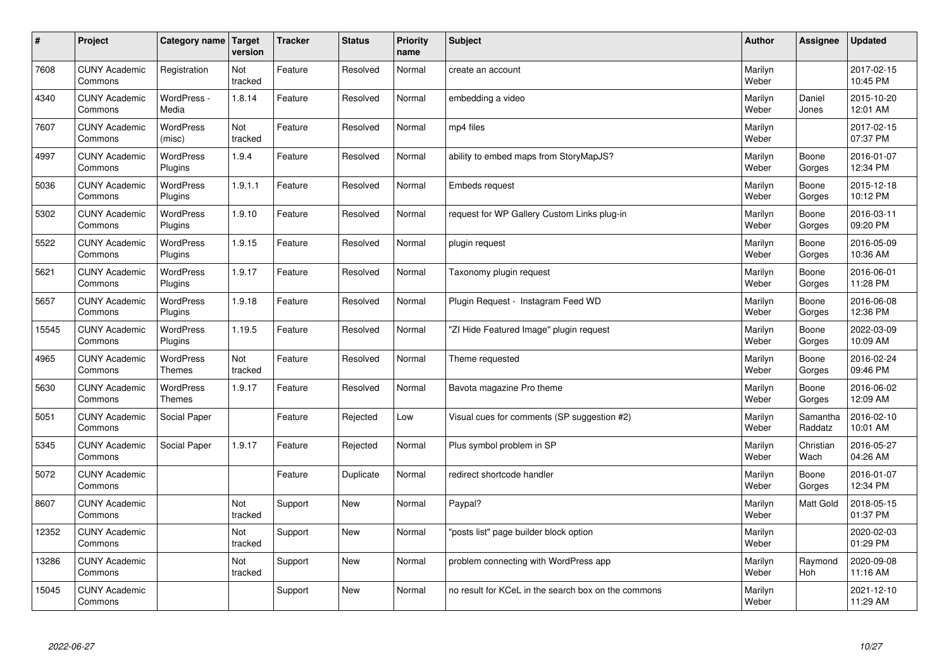| $\sharp$ | Project                         | Category name   Target            | version        | <b>Tracker</b> | <b>Status</b> | <b>Priority</b><br>name | <b>Subject</b>                                      | <b>Author</b>    | Assignee              | <b>Updated</b>         |
|----------|---------------------------------|-----------------------------------|----------------|----------------|---------------|-------------------------|-----------------------------------------------------|------------------|-----------------------|------------------------|
| 7608     | <b>CUNY Academic</b><br>Commons | Registration                      | Not<br>tracked | Feature        | Resolved      | Normal                  | create an account                                   | Marilyn<br>Weber |                       | 2017-02-15<br>10:45 PM |
| 4340     | <b>CUNY Academic</b><br>Commons | WordPress -<br>Media              | 1.8.14         | Feature        | Resolved      | Normal                  | embedding a video                                   | Marilyn<br>Weber | Daniel<br>Jones       | 2015-10-20<br>12:01 AM |
| 7607     | <b>CUNY Academic</b><br>Commons | <b>WordPress</b><br>(misc)        | Not<br>tracked | Feature        | Resolved      | Normal                  | mp4 files                                           | Marilyn<br>Weber |                       | 2017-02-15<br>07:37 PM |
| 4997     | <b>CUNY Academic</b><br>Commons | <b>WordPress</b><br>Plugins       | 1.9.4          | Feature        | Resolved      | Normal                  | ability to embed maps from StoryMapJS?              | Marilyn<br>Weber | Boone<br>Gorges       | 2016-01-07<br>12:34 PM |
| 5036     | <b>CUNY Academic</b><br>Commons | <b>WordPress</b><br>Plugins       | 1.9.1.1        | Feature        | Resolved      | Normal                  | <b>Embeds request</b>                               | Marilyn<br>Weber | Boone<br>Gorges       | 2015-12-18<br>10:12 PM |
| 5302     | <b>CUNY Academic</b><br>Commons | WordPress<br>Plugins              | 1.9.10         | Feature        | Resolved      | Normal                  | request for WP Gallery Custom Links plug-in         | Marilyn<br>Weber | Boone<br>Gorges       | 2016-03-11<br>09:20 PM |
| 5522     | <b>CUNY Academic</b><br>Commons | WordPress<br>Plugins              | 1.9.15         | Feature        | Resolved      | Normal                  | plugin request                                      | Marilyn<br>Weber | Boone<br>Gorges       | 2016-05-09<br>10:36 AM |
| 5621     | <b>CUNY Academic</b><br>Commons | WordPress<br>Plugins              | 1.9.17         | Feature        | Resolved      | Normal                  | Taxonomy plugin request                             | Marilyn<br>Weber | Boone<br>Gorges       | 2016-06-01<br>11:28 PM |
| 5657     | <b>CUNY Academic</b><br>Commons | <b>WordPress</b><br>Plugins       | 1.9.18         | Feature        | Resolved      | Normal                  | Plugin Request - Instagram Feed WD                  | Marilyn<br>Weber | Boone<br>Gorges       | 2016-06-08<br>12:36 PM |
| 15545    | <b>CUNY Academic</b><br>Commons | WordPress<br>Plugins              | 1.19.5         | Feature        | Resolved      | Normal                  | 'ZI Hide Featured Image" plugin request             | Marilyn<br>Weber | Boone<br>Gorges       | 2022-03-09<br>10:09 AM |
| 4965     | <b>CUNY Academic</b><br>Commons | <b>WordPress</b><br><b>Themes</b> | Not<br>tracked | Feature        | Resolved      | Normal                  | Theme requested                                     | Marilyn<br>Weber | Boone<br>Gorges       | 2016-02-24<br>09:46 PM |
| 5630     | <b>CUNY Academic</b><br>Commons | <b>WordPress</b><br><b>Themes</b> | 1.9.17         | Feature        | Resolved      | Normal                  | Bavota magazine Pro theme                           | Marilyn<br>Weber | Boone<br>Gorges       | 2016-06-02<br>12:09 AM |
| 5051     | <b>CUNY Academic</b><br>Commons | Social Paper                      |                | Feature        | Rejected      | Low                     | Visual cues for comments (SP suggestion #2)         | Marilyn<br>Weber | Samantha<br>Raddatz   | 2016-02-10<br>10:01 AM |
| 5345     | <b>CUNY Academic</b><br>Commons | Social Paper                      | 1.9.17         | Feature        | Rejected      | Normal                  | Plus symbol problem in SP                           | Marilyn<br>Weber | Christian<br>Wach     | 2016-05-27<br>04:26 AM |
| 5072     | <b>CUNY Academic</b><br>Commons |                                   |                | Feature        | Duplicate     | Normal                  | redirect shortcode handler                          | Marilyn<br>Weber | Boone<br>Gorges       | 2016-01-07<br>12:34 PM |
| 8607     | <b>CUNY Academic</b><br>Commons |                                   | Not<br>tracked | Support        | <b>New</b>    | Normal                  | Paypal?                                             | Marilyn<br>Weber | <b>Matt Gold</b>      | 2018-05-15<br>01:37 PM |
| 12352    | <b>CUNY Academic</b><br>Commons |                                   | Not<br>tracked | Support        | <b>New</b>    | Normal                  | posts list" page builder block option               | Marilyn<br>Weber |                       | 2020-02-03<br>01:29 PM |
| 13286    | <b>CUNY Academic</b><br>Commons |                                   | Not<br>tracked | Support        | New           | Normal                  | problem connecting with WordPress app               | Marilyn<br>Weber | Raymond<br><b>Hoh</b> | 2020-09-08<br>11:16 AM |
| 15045    | <b>CUNY Academic</b><br>Commons |                                   |                | Support        | <b>New</b>    | Normal                  | no result for KCeL in the search box on the commons | Marilyn<br>Weber |                       | 2021-12-10<br>11:29 AM |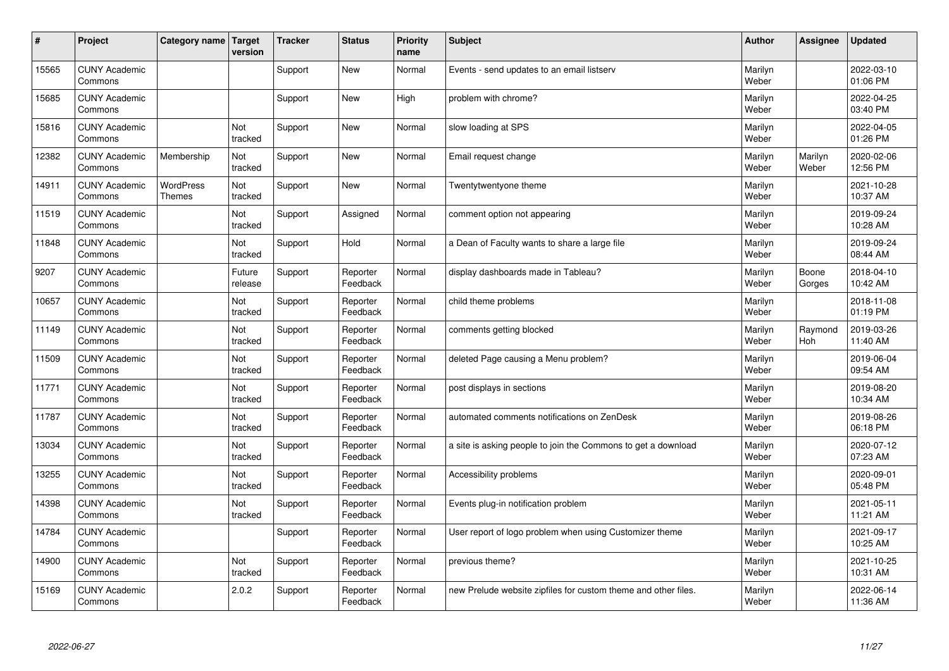| #     | Project                         | Category name   Target            | version           | <b>Tracker</b> | <b>Status</b>        | <b>Priority</b><br>name | <b>Subject</b>                                                 | <b>Author</b>    | Assignee              | Updated                |
|-------|---------------------------------|-----------------------------------|-------------------|----------------|----------------------|-------------------------|----------------------------------------------------------------|------------------|-----------------------|------------------------|
| 15565 | <b>CUNY Academic</b><br>Commons |                                   |                   | Support        | <b>New</b>           | Normal                  | Events - send updates to an email listserv                     | Marilyn<br>Weber |                       | 2022-03-10<br>01:06 PM |
| 15685 | <b>CUNY Academic</b><br>Commons |                                   |                   | Support        | <b>New</b>           | High                    | problem with chrome?                                           | Marilyn<br>Weber |                       | 2022-04-25<br>03:40 PM |
| 15816 | <b>CUNY Academic</b><br>Commons |                                   | Not<br>tracked    | Support        | <b>New</b>           | Normal                  | slow loading at SPS                                            | Marilyn<br>Weber |                       | 2022-04-05<br>01:26 PM |
| 12382 | <b>CUNY Academic</b><br>Commons | Membership                        | Not<br>tracked    | Support        | <b>New</b>           | Normal                  | Email request change                                           | Marilyn<br>Weber | Marilyn<br>Weber      | 2020-02-06<br>12:56 PM |
| 14911 | <b>CUNY Academic</b><br>Commons | <b>WordPress</b><br><b>Themes</b> | Not<br>tracked    | Support        | New                  | Normal                  | Twentytwentyone theme                                          | Marilyn<br>Weber |                       | 2021-10-28<br>10:37 AM |
| 11519 | <b>CUNY Academic</b><br>Commons |                                   | Not<br>tracked    | Support        | Assigned             | Normal                  | comment option not appearing                                   | Marilyn<br>Weber |                       | 2019-09-24<br>10:28 AM |
| 11848 | <b>CUNY Academic</b><br>Commons |                                   | Not<br>tracked    | Support        | Hold                 | Normal                  | a Dean of Faculty wants to share a large file                  | Marilyn<br>Weber |                       | 2019-09-24<br>08:44 AM |
| 9207  | <b>CUNY Academic</b><br>Commons |                                   | Future<br>release | Support        | Reporter<br>Feedback | Normal                  | display dashboards made in Tableau?                            | Marilyn<br>Weber | Boone<br>Gorges       | 2018-04-10<br>10:42 AM |
| 10657 | <b>CUNY Academic</b><br>Commons |                                   | Not<br>tracked    | Support        | Reporter<br>Feedback | Normal                  | child theme problems                                           | Marilyn<br>Weber |                       | 2018-11-08<br>01:19 PM |
| 11149 | <b>CUNY Academic</b><br>Commons |                                   | Not<br>tracked    | Support        | Reporter<br>Feedback | Normal                  | comments getting blocked                                       | Marilyn<br>Weber | Raymond<br><b>Hoh</b> | 2019-03-26<br>11:40 AM |
| 11509 | <b>CUNY Academic</b><br>Commons |                                   | Not<br>tracked    | Support        | Reporter<br>Feedback | Normal                  | deleted Page causing a Menu problem?                           | Marilyn<br>Weber |                       | 2019-06-04<br>09:54 AM |
| 11771 | <b>CUNY Academic</b><br>Commons |                                   | Not<br>tracked    | Support        | Reporter<br>Feedback | Normal                  | post displays in sections                                      | Marilyn<br>Weber |                       | 2019-08-20<br>10:34 AM |
| 11787 | <b>CUNY Academic</b><br>Commons |                                   | Not<br>tracked    | Support        | Reporter<br>Feedback | Normal                  | automated comments notifications on ZenDesk                    | Marilyn<br>Weber |                       | 2019-08-26<br>06:18 PM |
| 13034 | <b>CUNY Academic</b><br>Commons |                                   | Not<br>tracked    | Support        | Reporter<br>Feedback | Normal                  | a site is asking people to join the Commons to get a download  | Marilyn<br>Weber |                       | 2020-07-12<br>07:23 AM |
| 13255 | <b>CUNY Academic</b><br>Commons |                                   | Not<br>tracked    | Support        | Reporter<br>Feedback | Normal                  | Accessibility problems                                         | Marilyn<br>Weber |                       | 2020-09-01<br>05:48 PM |
| 14398 | <b>CUNY Academic</b><br>Commons |                                   | Not<br>tracked    | Support        | Reporter<br>Feedback | Normal                  | Events plug-in notification problem                            | Marilyn<br>Weber |                       | 2021-05-11<br>11:21 AM |
| 14784 | <b>CUNY Academic</b><br>Commons |                                   |                   | Support        | Reporter<br>Feedback | Normal                  | User report of logo problem when using Customizer theme        | Marilyn<br>Weber |                       | 2021-09-17<br>10:25 AM |
| 14900 | <b>CUNY Academic</b><br>Commons |                                   | Not<br>tracked    | Support        | Reporter<br>Feedback | Normal                  | previous theme?                                                | Marilyn<br>Weber |                       | 2021-10-25<br>10:31 AM |
| 15169 | <b>CUNY Academic</b><br>Commons |                                   | 2.0.2             | Support        | Reporter<br>Feedback | Normal                  | new Prelude website zipfiles for custom theme and other files. | Marilyn<br>Weber |                       | 2022-06-14<br>11:36 AM |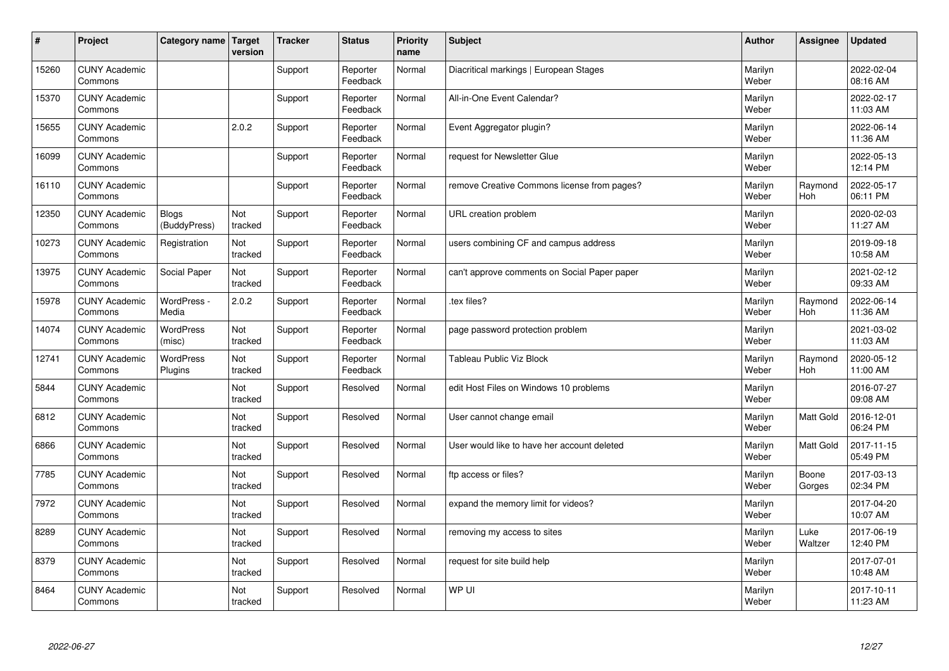| #     | Project                         | Category name   Target       | version        | <b>Tracker</b> | <b>Status</b>        | <b>Priority</b><br>name | <b>Subject</b>                               | <b>Author</b>    | Assignee              | <b>Updated</b>         |
|-------|---------------------------------|------------------------------|----------------|----------------|----------------------|-------------------------|----------------------------------------------|------------------|-----------------------|------------------------|
| 15260 | <b>CUNY Academic</b><br>Commons |                              |                | Support        | Reporter<br>Feedback | Normal                  | Diacritical markings   European Stages       | Marilyn<br>Weber |                       | 2022-02-04<br>08:16 AM |
| 15370 | <b>CUNY Academic</b><br>Commons |                              |                | Support        | Reporter<br>Feedback | Normal                  | All-in-One Event Calendar?                   | Marilyn<br>Weber |                       | 2022-02-17<br>11:03 AM |
| 15655 | <b>CUNY Academic</b><br>Commons |                              | 2.0.2          | Support        | Reporter<br>Feedback | Normal                  | Event Aggregator plugin?                     | Marilyn<br>Weber |                       | 2022-06-14<br>11:36 AM |
| 16099 | <b>CUNY Academic</b><br>Commons |                              |                | Support        | Reporter<br>Feedback | Normal                  | request for Newsletter Glue                  | Marilyn<br>Weber |                       | 2022-05-13<br>12:14 PM |
| 16110 | <b>CUNY Academic</b><br>Commons |                              |                | Support        | Reporter<br>Feedback | Normal                  | remove Creative Commons license from pages?  | Marilyn<br>Weber | Raymond<br><b>Hoh</b> | 2022-05-17<br>06:11 PM |
| 12350 | <b>CUNY Academic</b><br>Commons | <b>Blogs</b><br>(BuddyPress) | Not<br>tracked | Support        | Reporter<br>Feedback | Normal                  | URL creation problem                         | Marilyn<br>Weber |                       | 2020-02-03<br>11:27 AM |
| 10273 | <b>CUNY Academic</b><br>Commons | Registration                 | Not<br>tracked | Support        | Reporter<br>Feedback | Normal                  | users combining CF and campus address        | Marilyn<br>Weber |                       | 2019-09-18<br>10:58 AM |
| 13975 | <b>CUNY Academic</b><br>Commons | Social Paper                 | Not<br>tracked | Support        | Reporter<br>Feedback | Normal                  | can't approve comments on Social Paper paper | Marilyn<br>Weber |                       | 2021-02-12<br>09:33 AM |
| 15978 | <b>CUNY Academic</b><br>Commons | WordPress -<br>Media         | 2.0.2          | Support        | Reporter<br>Feedback | Normal                  | .tex files?                                  | Marilyn<br>Weber | Raymond<br>Hoh        | 2022-06-14<br>11:36 AM |
| 14074 | <b>CUNY Academic</b><br>Commons | <b>WordPress</b><br>(misc)   | Not<br>tracked | Support        | Reporter<br>Feedback | Normal                  | page password protection problem             | Marilyn<br>Weber |                       | 2021-03-02<br>11:03 AM |
| 12741 | <b>CUNY Academic</b><br>Commons | WordPress<br>Plugins         | Not<br>tracked | Support        | Reporter<br>Feedback | Normal                  | Tableau Public Viz Block                     | Marilyn<br>Weber | Raymond<br>Hoh        | 2020-05-12<br>11:00 AM |
| 5844  | <b>CUNY Academic</b><br>Commons |                              | Not<br>tracked | Support        | Resolved             | Normal                  | edit Host Files on Windows 10 problems       | Marilyn<br>Weber |                       | 2016-07-27<br>09:08 AM |
| 6812  | <b>CUNY Academic</b><br>Commons |                              | Not<br>tracked | Support        | Resolved             | Normal                  | User cannot change email                     | Marilyn<br>Weber | Matt Gold             | 2016-12-01<br>06:24 PM |
| 6866  | <b>CUNY Academic</b><br>Commons |                              | Not<br>tracked | Support        | Resolved             | Normal                  | User would like to have her account deleted  | Marilyn<br>Weber | Matt Gold             | 2017-11-15<br>05:49 PM |
| 7785  | <b>CUNY Academic</b><br>Commons |                              | Not<br>tracked | Support        | Resolved             | Normal                  | ftp access or files?                         | Marilyn<br>Weber | Boone<br>Gorges       | 2017-03-13<br>02:34 PM |
| 7972  | <b>CUNY Academic</b><br>Commons |                              | Not<br>tracked | Support        | Resolved             | Normal                  | expand the memory limit for videos?          | Marilyn<br>Weber |                       | 2017-04-20<br>10:07 AM |
| 8289  | <b>CUNY Academic</b><br>Commons |                              | Not<br>tracked | Support        | Resolved             | Normal                  | removing my access to sites                  | Marilyn<br>Weber | Luke<br>Waltzer       | 2017-06-19<br>12:40 PM |
| 8379  | <b>CUNY Academic</b><br>Commons |                              | Not<br>tracked | Support        | Resolved             | Normal                  | request for site build help                  | Marilyn<br>Weber |                       | 2017-07-01<br>10:48 AM |
| 8464  | <b>CUNY Academic</b><br>Commons |                              | Not<br>tracked | Support        | Resolved             | Normal                  | WP UI                                        | Marilyn<br>Weber |                       | 2017-10-11<br>11:23 AM |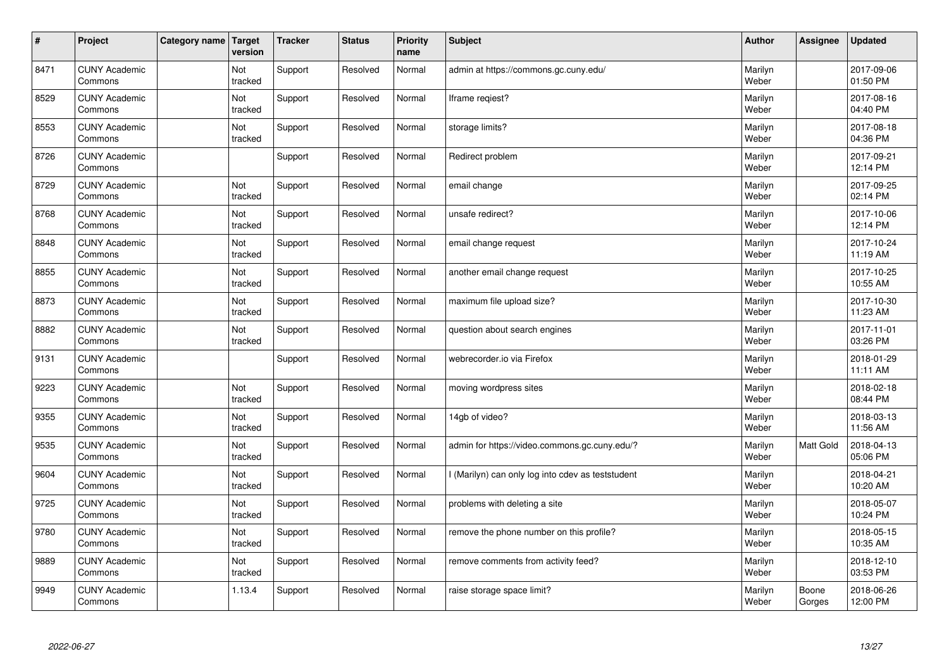| $\vert$ # | Project                         | Category name | Target<br>version | <b>Tracker</b> | <b>Status</b> | <b>Priority</b><br>name | <b>Subject</b>                                  | <b>Author</b>    | Assignee        | <b>Updated</b>         |
|-----------|---------------------------------|---------------|-------------------|----------------|---------------|-------------------------|-------------------------------------------------|------------------|-----------------|------------------------|
| 8471      | <b>CUNY Academic</b><br>Commons |               | Not<br>tracked    | Support        | Resolved      | Normal                  | admin at https://commons.gc.cuny.edu/           | Marilyn<br>Weber |                 | 2017-09-06<br>01:50 PM |
| 8529      | <b>CUNY Academic</b><br>Commons |               | Not<br>tracked    | Support        | Resolved      | Normal                  | Iframe regiest?                                 | Marilyn<br>Weber |                 | 2017-08-16<br>04:40 PM |
| 8553      | <b>CUNY Academic</b><br>Commons |               | Not<br>tracked    | Support        | Resolved      | Normal                  | storage limits?                                 | Marilyn<br>Weber |                 | 2017-08-18<br>04:36 PM |
| 8726      | <b>CUNY Academic</b><br>Commons |               |                   | Support        | Resolved      | Normal                  | Redirect problem                                | Marilyn<br>Weber |                 | 2017-09-21<br>12:14 PM |
| 8729      | <b>CUNY Academic</b><br>Commons |               | Not<br>tracked    | Support        | Resolved      | Normal                  | email change                                    | Marilyn<br>Weber |                 | 2017-09-25<br>02:14 PM |
| 8768      | <b>CUNY Academic</b><br>Commons |               | Not<br>tracked    | Support        | Resolved      | Normal                  | unsafe redirect?                                | Marilyn<br>Weber |                 | 2017-10-06<br>12:14 PM |
| 8848      | <b>CUNY Academic</b><br>Commons |               | Not<br>tracked    | Support        | Resolved      | Normal                  | email change request                            | Marilyn<br>Weber |                 | 2017-10-24<br>11:19 AM |
| 8855      | <b>CUNY Academic</b><br>Commons |               | Not<br>tracked    | Support        | Resolved      | Normal                  | another email change request                    | Marilyn<br>Weber |                 | 2017-10-25<br>10:55 AM |
| 8873      | <b>CUNY Academic</b><br>Commons |               | Not<br>tracked    | Support        | Resolved      | Normal                  | maximum file upload size?                       | Marilyn<br>Weber |                 | 2017-10-30<br>11:23 AM |
| 8882      | <b>CUNY Academic</b><br>Commons |               | Not<br>tracked    | Support        | Resolved      | Normal                  | question about search engines                   | Marilyn<br>Weber |                 | 2017-11-01<br>03:26 PM |
| 9131      | <b>CUNY Academic</b><br>Commons |               |                   | Support        | Resolved      | Normal                  | webrecorder.io via Firefox                      | Marilyn<br>Weber |                 | 2018-01-29<br>11:11 AM |
| 9223      | <b>CUNY Academic</b><br>Commons |               | Not<br>tracked    | Support        | Resolved      | Normal                  | moving wordpress sites                          | Marilyn<br>Weber |                 | 2018-02-18<br>08:44 PM |
| 9355      | <b>CUNY Academic</b><br>Commons |               | Not<br>tracked    | Support        | Resolved      | Normal                  | 14gb of video?                                  | Marilyn<br>Weber |                 | 2018-03-13<br>11:56 AM |
| 9535      | <b>CUNY Academic</b><br>Commons |               | Not<br>tracked    | Support        | Resolved      | Normal                  | admin for https://video.commons.gc.cuny.edu/?   | Marilyn<br>Weber | Matt Gold       | 2018-04-13<br>05:06 PM |
| 9604      | <b>CUNY Academic</b><br>Commons |               | Not<br>tracked    | Support        | Resolved      | Normal                  | (Marilyn) can only log into cdev as teststudent | Marilyn<br>Weber |                 | 2018-04-21<br>10:20 AM |
| 9725      | <b>CUNY Academic</b><br>Commons |               | Not<br>tracked    | Support        | Resolved      | Normal                  | problems with deleting a site                   | Marilyn<br>Weber |                 | 2018-05-07<br>10:24 PM |
| 9780      | <b>CUNY Academic</b><br>Commons |               | Not<br>tracked    | Support        | Resolved      | Normal                  | remove the phone number on this profile?        | Marilyn<br>Weber |                 | 2018-05-15<br>10:35 AM |
| 9889      | <b>CUNY Academic</b><br>Commons |               | Not<br>tracked    | Support        | Resolved      | Normal                  | remove comments from activity feed?             | Marilyn<br>Weber |                 | 2018-12-10<br>03:53 PM |
| 9949      | <b>CUNY Academic</b><br>Commons |               | 1.13.4            | Support        | Resolved      | Normal                  | raise storage space limit?                      | Marilyn<br>Weber | Boone<br>Gorges | 2018-06-26<br>12:00 PM |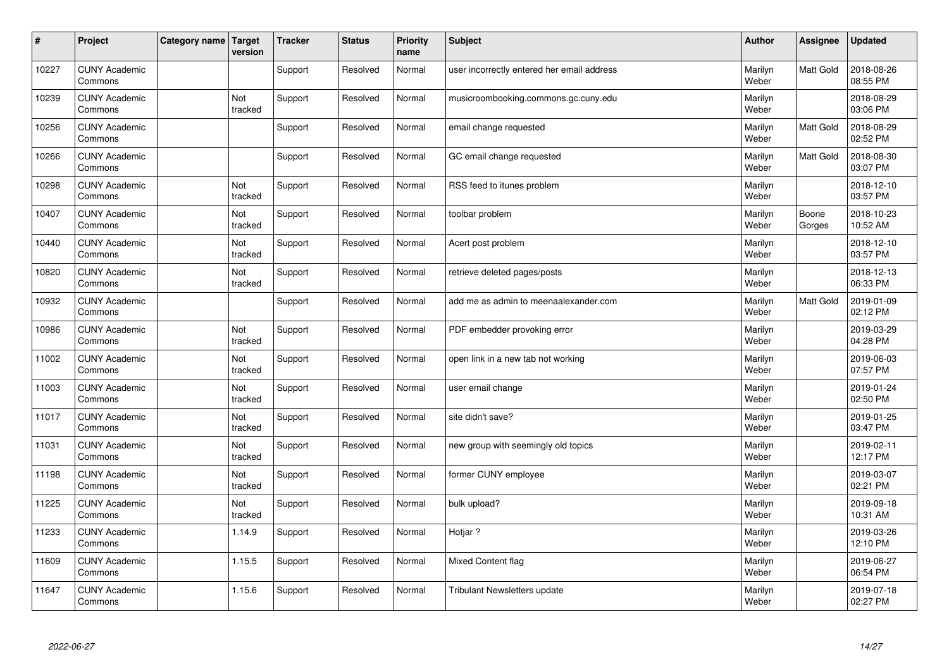| $\sharp$ | Project                         | Category name   Target | version        | <b>Tracker</b> | <b>Status</b> | <b>Priority</b><br>name | <b>Subject</b>                             | <b>Author</b>    | Assignee         | Updated                |
|----------|---------------------------------|------------------------|----------------|----------------|---------------|-------------------------|--------------------------------------------|------------------|------------------|------------------------|
| 10227    | <b>CUNY Academic</b><br>Commons |                        |                | Support        | Resolved      | Normal                  | user incorrectly entered her email address | Marilyn<br>Weber | <b>Matt Gold</b> | 2018-08-26<br>08:55 PM |
| 10239    | <b>CUNY Academic</b><br>Commons |                        | Not<br>tracked | Support        | Resolved      | Normal                  | musicroombooking.commons.gc.cuny.edu       | Marilyn<br>Weber |                  | 2018-08-29<br>03:06 PM |
| 10256    | <b>CUNY Academic</b><br>Commons |                        |                | Support        | Resolved      | Normal                  | email change requested                     | Marilyn<br>Weber | <b>Matt Gold</b> | 2018-08-29<br>02:52 PM |
| 10266    | <b>CUNY Academic</b><br>Commons |                        |                | Support        | Resolved      | Normal                  | GC email change requested                  | Marilyn<br>Weber | Matt Gold        | 2018-08-30<br>03:07 PM |
| 10298    | <b>CUNY Academic</b><br>Commons |                        | Not<br>tracked | Support        | Resolved      | Normal                  | RSS feed to itunes problem                 | Marilyn<br>Weber |                  | 2018-12-10<br>03:57 PM |
| 10407    | <b>CUNY Academic</b><br>Commons |                        | Not<br>tracked | Support        | Resolved      | Normal                  | toolbar problem                            | Marilyn<br>Weber | Boone<br>Gorges  | 2018-10-23<br>10:52 AM |
| 10440    | <b>CUNY Academic</b><br>Commons |                        | Not<br>tracked | Support        | Resolved      | Normal                  | Acert post problem                         | Marilyn<br>Weber |                  | 2018-12-10<br>03:57 PM |
| 10820    | <b>CUNY Academic</b><br>Commons |                        | Not<br>tracked | Support        | Resolved      | Normal                  | retrieve deleted pages/posts               | Marilyn<br>Weber |                  | 2018-12-13<br>06:33 PM |
| 10932    | <b>CUNY Academic</b><br>Commons |                        |                | Support        | Resolved      | Normal                  | add me as admin to meenaalexander.com      | Marilyn<br>Weber | <b>Matt Gold</b> | 2019-01-09<br>02:12 PM |
| 10986    | <b>CUNY Academic</b><br>Commons |                        | Not<br>tracked | Support        | Resolved      | Normal                  | PDF embedder provoking error               | Marilyn<br>Weber |                  | 2019-03-29<br>04:28 PM |
| 11002    | <b>CUNY Academic</b><br>Commons |                        | Not<br>tracked | Support        | Resolved      | Normal                  | open link in a new tab not working         | Marilyn<br>Weber |                  | 2019-06-03<br>07:57 PM |
| 11003    | <b>CUNY Academic</b><br>Commons |                        | Not<br>tracked | Support        | Resolved      | Normal                  | user email change                          | Marilyn<br>Weber |                  | 2019-01-24<br>02:50 PM |
| 11017    | <b>CUNY Academic</b><br>Commons |                        | Not<br>tracked | Support        | Resolved      | Normal                  | site didn't save?                          | Marilyn<br>Weber |                  | 2019-01-25<br>03:47 PM |
| 11031    | <b>CUNY Academic</b><br>Commons |                        | Not<br>tracked | Support        | Resolved      | Normal                  | new group with seemingly old topics        | Marilyn<br>Weber |                  | 2019-02-11<br>12:17 PM |
| 11198    | <b>CUNY Academic</b><br>Commons |                        | Not<br>tracked | Support        | Resolved      | Normal                  | former CUNY employee                       | Marilyn<br>Weber |                  | 2019-03-07<br>02:21 PM |
| 11225    | <b>CUNY Academic</b><br>Commons |                        | Not<br>tracked | Support        | Resolved      | Normal                  | bulk upload?                               | Marilyn<br>Weber |                  | 2019-09-18<br>10:31 AM |
| 11233    | <b>CUNY Academic</b><br>Commons |                        | 1.14.9         | Support        | Resolved      | Normal                  | Hotjar ?                                   | Marilyn<br>Weber |                  | 2019-03-26<br>12:10 PM |
| 11609    | <b>CUNY Academic</b><br>Commons |                        | 1.15.5         | Support        | Resolved      | Normal                  | <b>Mixed Content flag</b>                  | Marilyn<br>Weber |                  | 2019-06-27<br>06:54 PM |
| 11647    | <b>CUNY Academic</b><br>Commons |                        | 1.15.6         | Support        | Resolved      | Normal                  | <b>Tribulant Newsletters update</b>        | Marilyn<br>Weber |                  | 2019-07-18<br>02:27 PM |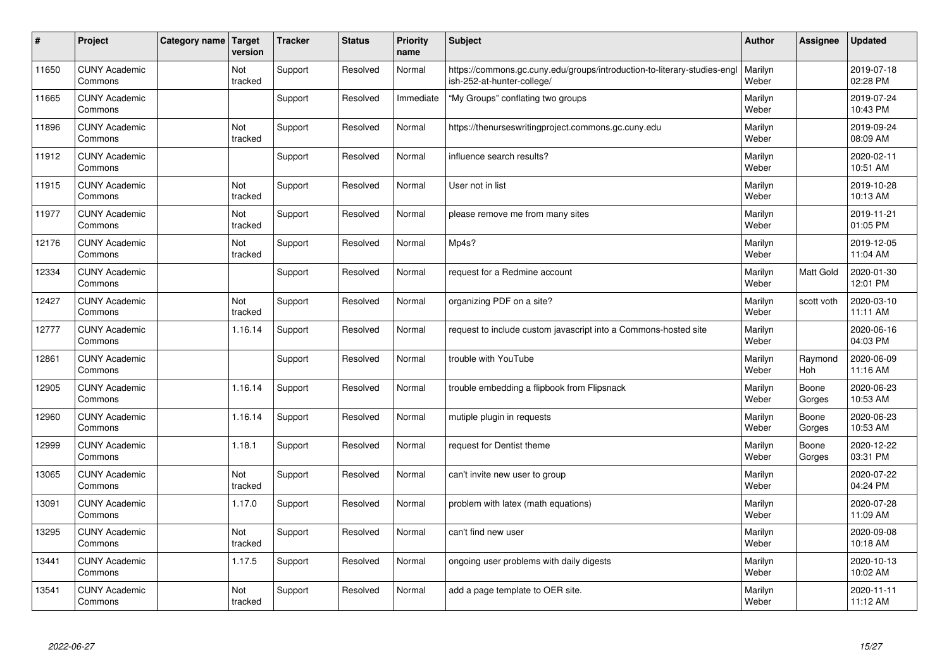| $\sharp$ | Project                         | Category name | Target<br>version | <b>Tracker</b> | <b>Status</b> | <b>Priority</b><br>name | <b>Subject</b>                                                                                         | <b>Author</b>    | Assignee        | <b>Updated</b>         |
|----------|---------------------------------|---------------|-------------------|----------------|---------------|-------------------------|--------------------------------------------------------------------------------------------------------|------------------|-----------------|------------------------|
| 11650    | <b>CUNY Academic</b><br>Commons |               | Not<br>tracked    | Support        | Resolved      | Normal                  | https://commons.gc.cuny.edu/groups/introduction-to-literary-studies-engl<br>ish-252-at-hunter-college/ | Marilyn<br>Weber |                 | 2019-07-18<br>02:28 PM |
| 11665    | <b>CUNY Academic</b><br>Commons |               |                   | Support        | Resolved      | Immediate               | "My Groups" conflating two groups                                                                      | Marilyn<br>Weber |                 | 2019-07-24<br>10:43 PM |
| 11896    | <b>CUNY Academic</b><br>Commons |               | Not<br>tracked    | Support        | Resolved      | Normal                  | https://thenurseswritingproject.commons.gc.cuny.edu                                                    | Marilyn<br>Weber |                 | 2019-09-24<br>08:09 AM |
| 11912    | <b>CUNY Academic</b><br>Commons |               |                   | Support        | Resolved      | Normal                  | influence search results?                                                                              | Marilyn<br>Weber |                 | 2020-02-11<br>10:51 AM |
| 11915    | <b>CUNY Academic</b><br>Commons |               | Not<br>tracked    | Support        | Resolved      | Normal                  | User not in list                                                                                       | Marilyn<br>Weber |                 | 2019-10-28<br>10:13 AM |
| 11977    | <b>CUNY Academic</b><br>Commons |               | Not<br>tracked    | Support        | Resolved      | Normal                  | please remove me from many sites                                                                       | Marilyn<br>Weber |                 | 2019-11-21<br>01:05 PM |
| 12176    | <b>CUNY Academic</b><br>Commons |               | Not<br>tracked    | Support        | Resolved      | Normal                  | Mp4s?                                                                                                  | Marilyn<br>Weber |                 | 2019-12-05<br>11:04 AM |
| 12334    | <b>CUNY Academic</b><br>Commons |               |                   | Support        | Resolved      | Normal                  | request for a Redmine account                                                                          | Marilyn<br>Weber | Matt Gold       | 2020-01-30<br>12:01 PM |
| 12427    | <b>CUNY Academic</b><br>Commons |               | Not<br>tracked    | Support        | Resolved      | Normal                  | organizing PDF on a site?                                                                              | Marilyn<br>Weber | scott voth      | 2020-03-10<br>11:11 AM |
| 12777    | <b>CUNY Academic</b><br>Commons |               | 1.16.14           | Support        | Resolved      | Normal                  | request to include custom javascript into a Commons-hosted site                                        | Marilyn<br>Weber |                 | 2020-06-16<br>04:03 PM |
| 12861    | <b>CUNY Academic</b><br>Commons |               |                   | Support        | Resolved      | Normal                  | trouble with YouTube                                                                                   | Marilyn<br>Weber | Raymond<br>Hoh  | 2020-06-09<br>11:16 AM |
| 12905    | <b>CUNY Academic</b><br>Commons |               | 1.16.14           | Support        | Resolved      | Normal                  | trouble embedding a flipbook from Flipsnack                                                            | Marilyn<br>Weber | Boone<br>Gorges | 2020-06-23<br>10:53 AM |
| 12960    | <b>CUNY Academic</b><br>Commons |               | 1.16.14           | Support        | Resolved      | Normal                  | mutiple plugin in requests                                                                             | Marilyn<br>Weber | Boone<br>Gorges | 2020-06-23<br>10:53 AM |
| 12999    | <b>CUNY Academic</b><br>Commons |               | 1.18.1            | Support        | Resolved      | Normal                  | request for Dentist theme                                                                              | Marilyn<br>Weber | Boone<br>Gorges | 2020-12-22<br>03:31 PM |
| 13065    | <b>CUNY Academic</b><br>Commons |               | Not<br>tracked    | Support        | Resolved      | Normal                  | can't invite new user to group                                                                         | Marilyn<br>Weber |                 | 2020-07-22<br>04:24 PM |
| 13091    | <b>CUNY Academic</b><br>Commons |               | 1.17.0            | Support        | Resolved      | Normal                  | problem with latex (math equations)                                                                    | Marilyn<br>Weber |                 | 2020-07-28<br>11:09 AM |
| 13295    | <b>CUNY Academic</b><br>Commons |               | Not<br>tracked    | Support        | Resolved      | Normal                  | can't find new user                                                                                    | Marilyn<br>Weber |                 | 2020-09-08<br>10:18 AM |
| 13441    | <b>CUNY Academic</b><br>Commons |               | 1.17.5            | Support        | Resolved      | Normal                  | ongoing user problems with daily digests                                                               | Marilyn<br>Weber |                 | 2020-10-13<br>10:02 AM |
| 13541    | <b>CUNY Academic</b><br>Commons |               | Not<br>tracked    | Support        | Resolved      | Normal                  | add a page template to OER site.                                                                       | Marilyn<br>Weber |                 | 2020-11-11<br>11:12 AM |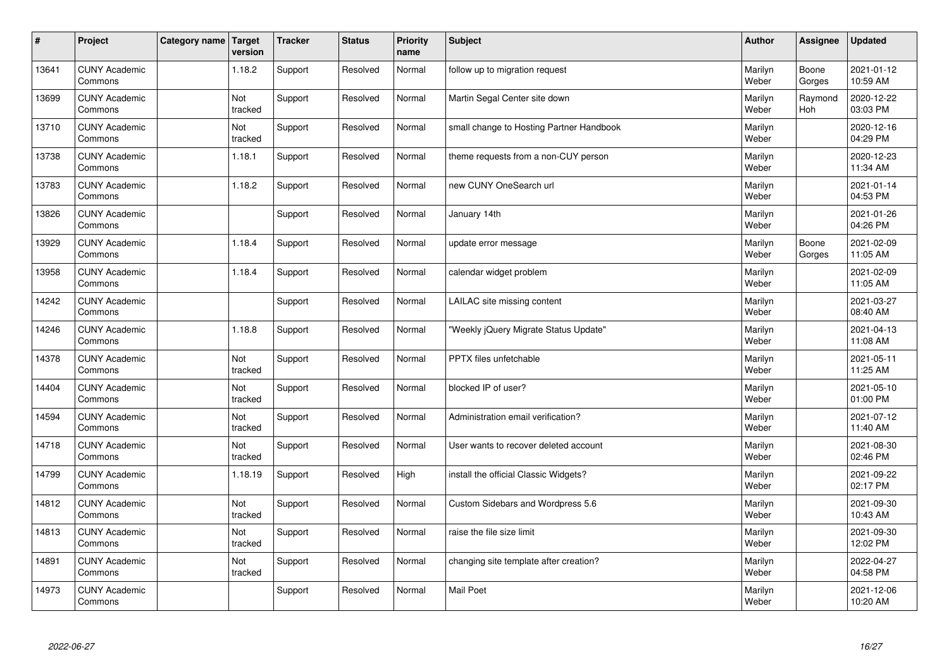| $\vert$ # | Project                         | Category name   Target | version        | <b>Tracker</b> | <b>Status</b> | <b>Priority</b><br>name | <b>Subject</b>                           | <b>Author</b>    | <b>Assignee</b>       | Updated                |
|-----------|---------------------------------|------------------------|----------------|----------------|---------------|-------------------------|------------------------------------------|------------------|-----------------------|------------------------|
| 13641     | <b>CUNY Academic</b><br>Commons |                        | 1.18.2         | Support        | Resolved      | Normal                  | follow up to migration request           | Marilyn<br>Weber | Boone<br>Gorges       | 2021-01-12<br>10:59 AM |
| 13699     | <b>CUNY Academic</b><br>Commons |                        | Not<br>tracked | Support        | Resolved      | Normal                  | Martin Segal Center site down            | Marilyn<br>Weber | Raymond<br><b>Hoh</b> | 2020-12-22<br>03:03 PM |
| 13710     | <b>CUNY Academic</b><br>Commons |                        | Not<br>tracked | Support        | Resolved      | Normal                  | small change to Hosting Partner Handbook | Marilyn<br>Weber |                       | 2020-12-16<br>04:29 PM |
| 13738     | <b>CUNY Academic</b><br>Commons |                        | 1.18.1         | Support        | Resolved      | Normal                  | theme requests from a non-CUY person     | Marilyn<br>Weber |                       | 2020-12-23<br>11:34 AM |
| 13783     | <b>CUNY Academic</b><br>Commons |                        | 1.18.2         | Support        | Resolved      | Normal                  | new CUNY OneSearch url                   | Marilyn<br>Weber |                       | 2021-01-14<br>04:53 PM |
| 13826     | <b>CUNY Academic</b><br>Commons |                        |                | Support        | Resolved      | Normal                  | January 14th                             | Marilyn<br>Weber |                       | 2021-01-26<br>04:26 PM |
| 13929     | <b>CUNY Academic</b><br>Commons |                        | 1.18.4         | Support        | Resolved      | Normal                  | update error message                     | Marilyn<br>Weber | Boone<br>Gorges       | 2021-02-09<br>11:05 AM |
| 13958     | <b>CUNY Academic</b><br>Commons |                        | 1.18.4         | Support        | Resolved      | Normal                  | calendar widget problem                  | Marilyn<br>Weber |                       | 2021-02-09<br>11:05 AM |
| 14242     | <b>CUNY Academic</b><br>Commons |                        |                | Support        | Resolved      | Normal                  | LAILAC site missing content              | Marilyn<br>Weber |                       | 2021-03-27<br>08:40 AM |
| 14246     | <b>CUNY Academic</b><br>Commons |                        | 1.18.8         | Support        | Resolved      | Normal                  | 'Weekly jQuery Migrate Status Update"    | Marilyn<br>Weber |                       | 2021-04-13<br>11:08 AM |
| 14378     | <b>CUNY Academic</b><br>Commons |                        | Not<br>tracked | Support        | Resolved      | Normal                  | PPTX files unfetchable                   | Marilyn<br>Weber |                       | 2021-05-11<br>11:25 AM |
| 14404     | <b>CUNY Academic</b><br>Commons |                        | Not<br>tracked | Support        | Resolved      | Normal                  | blocked IP of user?                      | Marilyn<br>Weber |                       | 2021-05-10<br>01:00 PM |
| 14594     | <b>CUNY Academic</b><br>Commons |                        | Not<br>tracked | Support        | Resolved      | Normal                  | Administration email verification?       | Marilyn<br>Weber |                       | 2021-07-12<br>11:40 AM |
| 14718     | <b>CUNY Academic</b><br>Commons |                        | Not<br>tracked | Support        | Resolved      | Normal                  | User wants to recover deleted account    | Marilyn<br>Weber |                       | 2021-08-30<br>02:46 PM |
| 14799     | <b>CUNY Academic</b><br>Commons |                        | 1.18.19        | Support        | Resolved      | High                    | install the official Classic Widgets?    | Marilyn<br>Weber |                       | 2021-09-22<br>02:17 PM |
| 14812     | <b>CUNY Academic</b><br>Commons |                        | Not<br>tracked | Support        | Resolved      | Normal                  | Custom Sidebars and Wordpress 5.6        | Marilyn<br>Weber |                       | 2021-09-30<br>10:43 AM |
| 14813     | <b>CUNY Academic</b><br>Commons |                        | Not<br>tracked | Support        | Resolved      | Normal                  | raise the file size limit                | Marilyn<br>Weber |                       | 2021-09-30<br>12:02 PM |
| 14891     | <b>CUNY Academic</b><br>Commons |                        | Not<br>tracked | Support        | Resolved      | Normal                  | changing site template after creation?   | Marilyn<br>Weber |                       | 2022-04-27<br>04:58 PM |
| 14973     | <b>CUNY Academic</b><br>Commons |                        |                | Support        | Resolved      | Normal                  | <b>Mail Poet</b>                         | Marilyn<br>Weber |                       | 2021-12-06<br>10:20 AM |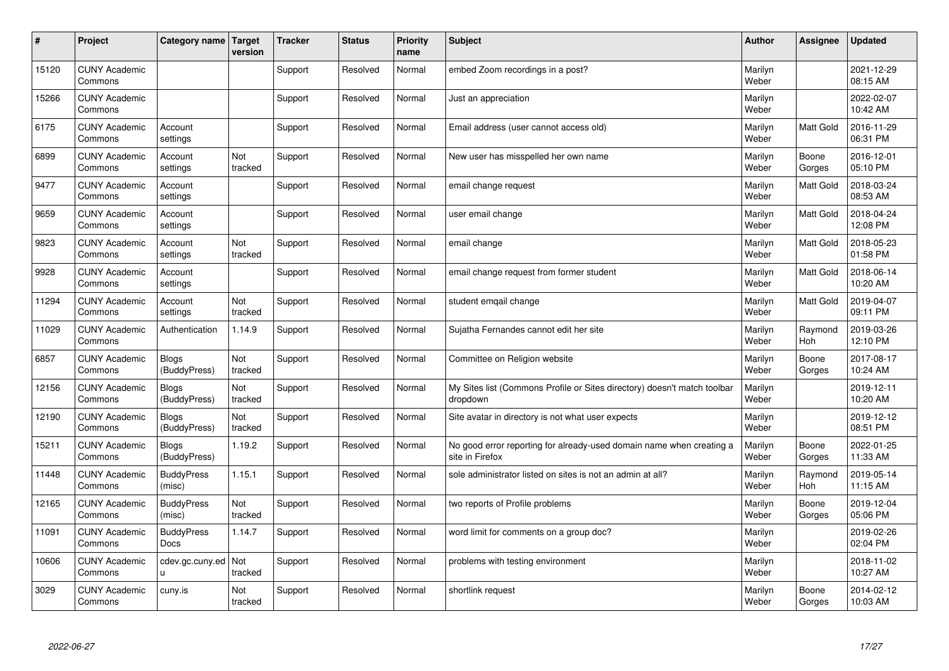| #     | Project                         | Category name                    | Target<br>version | <b>Tracker</b> | <b>Status</b> | <b>Priority</b><br>name | <b>Subject</b>                                                                          | <b>Author</b>    | Assignee         | <b>Updated</b>         |
|-------|---------------------------------|----------------------------------|-------------------|----------------|---------------|-------------------------|-----------------------------------------------------------------------------------------|------------------|------------------|------------------------|
| 15120 | <b>CUNY Academic</b><br>Commons |                                  |                   | Support        | Resolved      | Normal                  | embed Zoom recordings in a post?                                                        | Marilyn<br>Weber |                  | 2021-12-29<br>08:15 AM |
| 15266 | <b>CUNY Academic</b><br>Commons |                                  |                   | Support        | Resolved      | Normal                  | Just an appreciation                                                                    | Marilyn<br>Weber |                  | 2022-02-07<br>10:42 AM |
| 6175  | <b>CUNY Academic</b><br>Commons | Account<br>settings              |                   | Support        | Resolved      | Normal                  | Email address (user cannot access old)                                                  | Marilyn<br>Weber | <b>Matt Gold</b> | 2016-11-29<br>06:31 PM |
| 6899  | <b>CUNY Academic</b><br>Commons | Account<br>settings              | Not<br>tracked    | Support        | Resolved      | Normal                  | New user has misspelled her own name                                                    | Marilyn<br>Weber | Boone<br>Gorges  | 2016-12-01<br>05:10 PM |
| 9477  | <b>CUNY Academic</b><br>Commons | Account<br>settings              |                   | Support        | Resolved      | Normal                  | email change request                                                                    | Marilyn<br>Weber | <b>Matt Gold</b> | 2018-03-24<br>08:53 AM |
| 9659  | <b>CUNY Academic</b><br>Commons | Account<br>settings              |                   | Support        | Resolved      | Normal                  | user email change                                                                       | Marilyn<br>Weber | <b>Matt Gold</b> | 2018-04-24<br>12:08 PM |
| 9823  | <b>CUNY Academic</b><br>Commons | Account<br>settings              | Not<br>tracked    | Support        | Resolved      | Normal                  | email change                                                                            | Marilyn<br>Weber | Matt Gold        | 2018-05-23<br>01:58 PM |
| 9928  | <b>CUNY Academic</b><br>Commons | Account<br>settings              |                   | Support        | Resolved      | Normal                  | email change request from former student                                                | Marilyn<br>Weber | Matt Gold        | 2018-06-14<br>10:20 AM |
| 11294 | <b>CUNY Academic</b><br>Commons | Account<br>settings              | Not<br>tracked    | Support        | Resolved      | Normal                  | student emgail change                                                                   | Marilyn<br>Weber | Matt Gold        | 2019-04-07<br>09:11 PM |
| 11029 | <b>CUNY Academic</b><br>Commons | Authentication                   | 1.14.9            | Support        | Resolved      | Normal                  | Sujatha Fernandes cannot edit her site                                                  | Marilyn<br>Weber | Raymond<br>Hoh   | 2019-03-26<br>12:10 PM |
| 6857  | <b>CUNY Academic</b><br>Commons | <b>Blogs</b><br>(BuddyPress)     | Not<br>tracked    | Support        | Resolved      | Normal                  | Committee on Religion website                                                           | Marilyn<br>Weber | Boone<br>Gorges  | 2017-08-17<br>10:24 AM |
| 12156 | <b>CUNY Academic</b><br>Commons | <b>Blogs</b><br>(BuddyPress)     | Not<br>tracked    | Support        | Resolved      | Normal                  | My Sites list (Commons Profile or Sites directory) doesn't match toolbar<br>dropdown    | Marilyn<br>Weber |                  | 2019-12-11<br>10:20 AM |
| 12190 | <b>CUNY Academic</b><br>Commons | <b>Blogs</b><br>(BuddyPress)     | Not<br>tracked    | Support        | Resolved      | Normal                  | Site avatar in directory is not what user expects                                       | Marilyn<br>Weber |                  | 2019-12-12<br>08:51 PM |
| 15211 | <b>CUNY Academic</b><br>Commons | <b>Blogs</b><br>(BuddyPress)     | 1.19.2            | Support        | Resolved      | Normal                  | No good error reporting for already-used domain name when creating a<br>site in Firefox | Marilyn<br>Weber | Boone<br>Gorges  | 2022-01-25<br>11:33 AM |
| 11448 | <b>CUNY Academic</b><br>Commons | <b>BuddyPress</b><br>(misc)      | 1.15.1            | Support        | Resolved      | Normal                  | sole administrator listed on sites is not an admin at all?                              | Marilyn<br>Weber | Raymond<br>Hoh   | 2019-05-14<br>11:15 AM |
| 12165 | <b>CUNY Academic</b><br>Commons | <b>BuddyPress</b><br>(misc)      | Not<br>tracked    | Support        | Resolved      | Normal                  | two reports of Profile problems                                                         | Marilyn<br>Weber | Boone<br>Gorges  | 2019-12-04<br>05:06 PM |
| 11091 | <b>CUNY Academic</b><br>Commons | <b>BuddyPress</b><br><b>Docs</b> | 1.14.7            | Support        | Resolved      | Normal                  | word limit for comments on a group doc?                                                 | Marilyn<br>Weber |                  | 2019-02-26<br>02:04 PM |
| 10606 | <b>CUNY Academic</b><br>Commons | cdev.gc.cuny.ed<br>u             | Not<br>tracked    | Support        | Resolved      | Normal                  | problems with testing environment                                                       | Marilyn<br>Weber |                  | 2018-11-02<br>10:27 AM |
| 3029  | <b>CUNY Academic</b><br>Commons | cuny.is                          | Not<br>tracked    | Support        | Resolved      | Normal                  | shortlink request                                                                       | Marilyn<br>Weber | Boone<br>Gorges  | 2014-02-12<br>10:03 AM |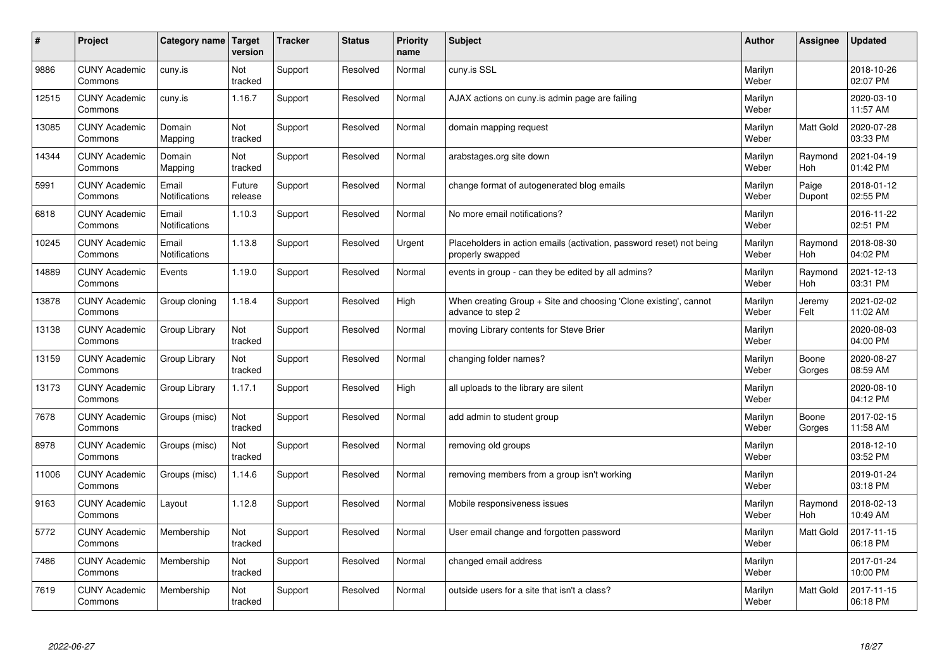| #     | Project                         | Category name   Target        | version           | <b>Tracker</b> | <b>Status</b> | <b>Priority</b><br>name | <b>Subject</b>                                                                           | <b>Author</b>    | Assignee              | <b>Updated</b>         |
|-------|---------------------------------|-------------------------------|-------------------|----------------|---------------|-------------------------|------------------------------------------------------------------------------------------|------------------|-----------------------|------------------------|
| 9886  | <b>CUNY Academic</b><br>Commons | cuny.is                       | Not<br>tracked    | Support        | Resolved      | Normal                  | cuny.is SSL                                                                              | Marilyn<br>Weber |                       | 2018-10-26<br>02:07 PM |
| 12515 | <b>CUNY Academic</b><br>Commons | cuny.is                       | 1.16.7            | Support        | Resolved      | Normal                  | AJAX actions on cuny is admin page are failing                                           | Marilyn<br>Weber |                       | 2020-03-10<br>11:57 AM |
| 13085 | <b>CUNY Academic</b><br>Commons | Domain<br>Mapping             | Not<br>tracked    | Support        | Resolved      | Normal                  | domain mapping request                                                                   | Marilyn<br>Weber | <b>Matt Gold</b>      | 2020-07-28<br>03:33 PM |
| 14344 | <b>CUNY Academic</b><br>Commons | Domain<br>Mapping             | Not<br>tracked    | Support        | Resolved      | Normal                  | arabstages.org site down                                                                 | Marilyn<br>Weber | Raymond<br><b>Hoh</b> | 2021-04-19<br>01:42 PM |
| 5991  | <b>CUNY Academic</b><br>Commons | Email<br>Notifications        | Future<br>release | Support        | Resolved      | Normal                  | change format of autogenerated blog emails                                               | Marilyn<br>Weber | Paige<br>Dupont       | 2018-01-12<br>02:55 PM |
| 6818  | <b>CUNY Academic</b><br>Commons | Email<br>Notifications        | 1.10.3            | Support        | Resolved      | Normal                  | No more email notifications?                                                             | Marilyn<br>Weber |                       | 2016-11-22<br>02:51 PM |
| 10245 | <b>CUNY Academic</b><br>Commons | Email<br><b>Notifications</b> | 1.13.8            | Support        | Resolved      | Urgent                  | Placeholders in action emails (activation, password reset) not being<br>properly swapped | Marilyn<br>Weber | Raymond<br>Hoh        | 2018-08-30<br>04:02 PM |
| 14889 | <b>CUNY Academic</b><br>Commons | Events                        | 1.19.0            | Support        | Resolved      | Normal                  | events in group - can they be edited by all admins?                                      | Marilyn<br>Weber | Raymond<br>Hoh        | 2021-12-13<br>03:31 PM |
| 13878 | <b>CUNY Academic</b><br>Commons | Group cloning                 | 1.18.4            | Support        | Resolved      | High                    | When creating Group + Site and choosing 'Clone existing', cannot<br>advance to step 2    | Marilyn<br>Weber | Jeremy<br>Felt        | 2021-02-02<br>11:02 AM |
| 13138 | <b>CUNY Academic</b><br>Commons | Group Library                 | Not<br>tracked    | Support        | Resolved      | Normal                  | moving Library contents for Steve Brier                                                  | Marilyn<br>Weber |                       | 2020-08-03<br>04:00 PM |
| 13159 | <b>CUNY Academic</b><br>Commons | Group Library                 | Not<br>tracked    | Support        | Resolved      | Normal                  | changing folder names?                                                                   | Marilyn<br>Weber | Boone<br>Gorges       | 2020-08-27<br>08:59 AM |
| 13173 | <b>CUNY Academic</b><br>Commons | Group Library                 | 1.17.1            | Support        | Resolved      | High                    | all uploads to the library are silent                                                    | Marilyn<br>Weber |                       | 2020-08-10<br>04:12 PM |
| 7678  | <b>CUNY Academic</b><br>Commons | Groups (misc)                 | Not<br>tracked    | Support        | Resolved      | Normal                  | add admin to student group                                                               | Marilyn<br>Weber | Boone<br>Gorges       | 2017-02-15<br>11:58 AM |
| 8978  | <b>CUNY Academic</b><br>Commons | Groups (misc)                 | Not<br>tracked    | Support        | Resolved      | Normal                  | removing old groups                                                                      | Marilyn<br>Weber |                       | 2018-12-10<br>03:52 PM |
| 11006 | <b>CUNY Academic</b><br>Commons | Groups (misc)                 | 1.14.6            | Support        | Resolved      | Normal                  | removing members from a group isn't working                                              | Marilyn<br>Weber |                       | 2019-01-24<br>03:18 PM |
| 9163  | <b>CUNY Academic</b><br>Commons | Layout                        | 1.12.8            | Support        | Resolved      | Normal                  | Mobile responsiveness issues                                                             | Marilyn<br>Weber | Raymond<br>Hoh        | 2018-02-13<br>10:49 AM |
| 5772  | <b>CUNY Academic</b><br>Commons | Membership                    | Not<br>tracked    | Support        | Resolved      | Normal                  | User email change and forgotten password                                                 | Marilyn<br>Weber | <b>Matt Gold</b>      | 2017-11-15<br>06:18 PM |
| 7486  | <b>CUNY Academic</b><br>Commons | Membership                    | Not<br>tracked    | Support        | Resolved      | Normal                  | changed email address                                                                    | Marilyn<br>Weber |                       | 2017-01-24<br>10:00 PM |
| 7619  | <b>CUNY Academic</b><br>Commons | Membership                    | Not<br>tracked    | Support        | Resolved      | Normal                  | outside users for a site that isn't a class?                                             | Marilyn<br>Weber | <b>Matt Gold</b>      | 2017-11-15<br>06:18 PM |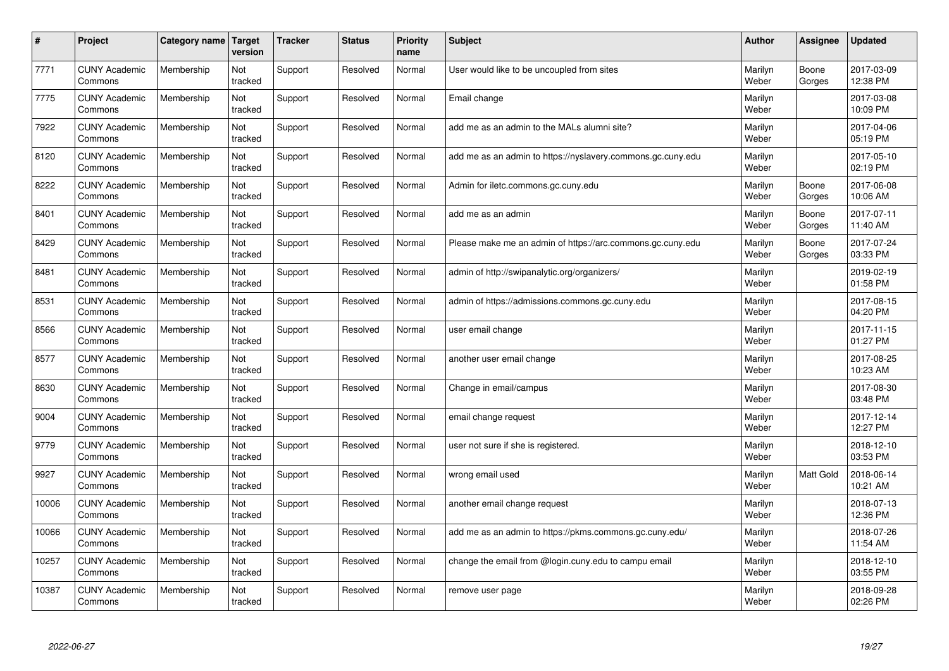| #     | Project                         | Category name | <b>Target</b><br>version | <b>Tracker</b> | <b>Status</b> | <b>Priority</b><br>name | <b>Subject</b>                                              | <b>Author</b>    | Assignee        | <b>Updated</b>         |
|-------|---------------------------------|---------------|--------------------------|----------------|---------------|-------------------------|-------------------------------------------------------------|------------------|-----------------|------------------------|
| 7771  | <b>CUNY Academic</b><br>Commons | Membership    | Not<br>tracked           | Support        | Resolved      | Normal                  | User would like to be uncoupled from sites                  | Marilyn<br>Weber | Boone<br>Gorges | 2017-03-09<br>12:38 PM |
| 7775  | <b>CUNY Academic</b><br>Commons | Membership    | Not<br>tracked           | Support        | Resolved      | Normal                  | Email change                                                | Marilyn<br>Weber |                 | 2017-03-08<br>10:09 PM |
| 7922  | <b>CUNY Academic</b><br>Commons | Membership    | Not<br>tracked           | Support        | Resolved      | Normal                  | add me as an admin to the MALs alumni site?                 | Marilyn<br>Weber |                 | 2017-04-06<br>05:19 PM |
| 8120  | <b>CUNY Academic</b><br>Commons | Membership    | Not<br>tracked           | Support        | Resolved      | Normal                  | add me as an admin to https://nyslavery.commons.gc.cuny.edu | Marilyn<br>Weber |                 | 2017-05-10<br>02:19 PM |
| 8222  | <b>CUNY Academic</b><br>Commons | Membership    | Not<br>tracked           | Support        | Resolved      | Normal                  | Admin for iletc.commons.gc.cuny.edu                         | Marilyn<br>Weber | Boone<br>Gorges | 2017-06-08<br>10:06 AM |
| 8401  | <b>CUNY Academic</b><br>Commons | Membership    | Not<br>tracked           | Support        | Resolved      | Normal                  | add me as an admin                                          | Marilyn<br>Weber | Boone<br>Gorges | 2017-07-11<br>11:40 AM |
| 8429  | <b>CUNY Academic</b><br>Commons | Membership    | Not<br>tracked           | Support        | Resolved      | Normal                  | Please make me an admin of https://arc.commons.gc.cuny.edu  | Marilyn<br>Weber | Boone<br>Gorges | 2017-07-24<br>03:33 PM |
| 8481  | <b>CUNY Academic</b><br>Commons | Membership    | Not<br>tracked           | Support        | Resolved      | Normal                  | admin of http://swipanalytic.org/organizers/                | Marilyn<br>Weber |                 | 2019-02-19<br>01:58 PM |
| 8531  | <b>CUNY Academic</b><br>Commons | Membership    | Not<br>tracked           | Support        | Resolved      | Normal                  | admin of https://admissions.commons.gc.cuny.edu             | Marilyn<br>Weber |                 | 2017-08-15<br>04:20 PM |
| 8566  | <b>CUNY Academic</b><br>Commons | Membership    | Not<br>tracked           | Support        | Resolved      | Normal                  | user email change                                           | Marilyn<br>Weber |                 | 2017-11-15<br>01:27 PM |
| 8577  | <b>CUNY Academic</b><br>Commons | Membership    | Not<br>tracked           | Support        | Resolved      | Normal                  | another user email change                                   | Marilyn<br>Weber |                 | 2017-08-25<br>10:23 AM |
| 8630  | <b>CUNY Academic</b><br>Commons | Membership    | Not<br>tracked           | Support        | Resolved      | Normal                  | Change in email/campus                                      | Marilyn<br>Weber |                 | 2017-08-30<br>03:48 PM |
| 9004  | <b>CUNY Academic</b><br>Commons | Membership    | Not<br>tracked           | Support        | Resolved      | Normal                  | email change request                                        | Marilyn<br>Weber |                 | 2017-12-14<br>12:27 PM |
| 9779  | <b>CUNY Academic</b><br>Commons | Membership    | Not<br>tracked           | Support        | Resolved      | Normal                  | user not sure if she is registered.                         | Marilyn<br>Weber |                 | 2018-12-10<br>03:53 PM |
| 9927  | <b>CUNY Academic</b><br>Commons | Membership    | Not<br>tracked           | Support        | Resolved      | Normal                  | wrong email used                                            | Marilyn<br>Weber | Matt Gold       | 2018-06-14<br>10:21 AM |
| 10006 | <b>CUNY Academic</b><br>Commons | Membership    | Not<br>tracked           | Support        | Resolved      | Normal                  | another email change request                                | Marilyn<br>Weber |                 | 2018-07-13<br>12:36 PM |
| 10066 | <b>CUNY Academic</b><br>Commons | Membership    | Not<br>tracked           | Support        | Resolved      | Normal                  | add me as an admin to https://pkms.commons.gc.cuny.edu/     | Marilyn<br>Weber |                 | 2018-07-26<br>11:54 AM |
| 10257 | <b>CUNY Academic</b><br>Commons | Membership    | Not<br>tracked           | Support        | Resolved      | Normal                  | change the email from @login.cuny.edu to campu email        | Marilyn<br>Weber |                 | 2018-12-10<br>03:55 PM |
| 10387 | <b>CUNY Academic</b><br>Commons | Membership    | Not<br>tracked           | Support        | Resolved      | Normal                  | remove user page                                            | Marilyn<br>Weber |                 | 2018-09-28<br>02:26 PM |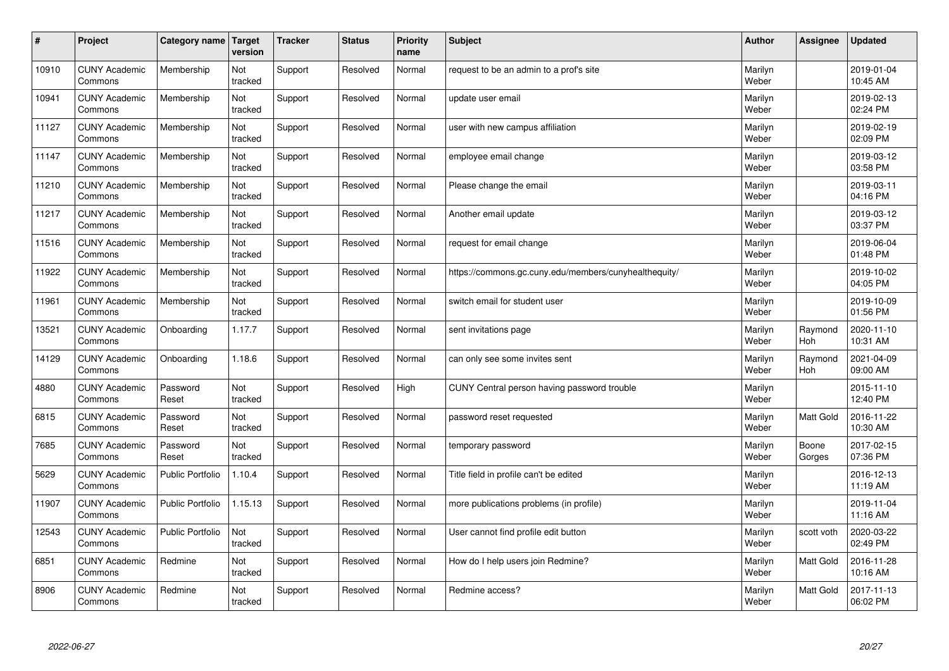| $\pmb{\#}$ | Project                         | Category name           | Target<br>version | <b>Tracker</b> | <b>Status</b> | <b>Priority</b><br>name | <b>Subject</b>                                        | <b>Author</b>    | Assignee        | <b>Updated</b>         |
|------------|---------------------------------|-------------------------|-------------------|----------------|---------------|-------------------------|-------------------------------------------------------|------------------|-----------------|------------------------|
| 10910      | <b>CUNY Academic</b><br>Commons | Membership              | Not<br>tracked    | Support        | Resolved      | Normal                  | request to be an admin to a prof's site               | Marilyn<br>Weber |                 | 2019-01-04<br>10:45 AM |
| 10941      | <b>CUNY Academic</b><br>Commons | Membership              | Not<br>tracked    | Support        | Resolved      | Normal                  | update user email                                     | Marilyn<br>Weber |                 | 2019-02-13<br>02:24 PM |
| 11127      | <b>CUNY Academic</b><br>Commons | Membership              | Not<br>tracked    | Support        | Resolved      | Normal                  | user with new campus affiliation                      | Marilyn<br>Weber |                 | 2019-02-19<br>02:09 PM |
| 11147      | <b>CUNY Academic</b><br>Commons | Membership              | Not<br>tracked    | Support        | Resolved      | Normal                  | employee email change                                 | Marilyn<br>Weber |                 | 2019-03-12<br>03:58 PM |
| 11210      | <b>CUNY Academic</b><br>Commons | Membership              | Not<br>tracked    | Support        | Resolved      | Normal                  | Please change the email                               | Marilyn<br>Weber |                 | 2019-03-11<br>04:16 PM |
| 11217      | <b>CUNY Academic</b><br>Commons | Membership              | Not<br>tracked    | Support        | Resolved      | Normal                  | Another email update                                  | Marilyn<br>Weber |                 | 2019-03-12<br>03:37 PM |
| 11516      | <b>CUNY Academic</b><br>Commons | Membership              | Not<br>tracked    | Support        | Resolved      | Normal                  | request for email change                              | Marilyn<br>Weber |                 | 2019-06-04<br>01:48 PM |
| 11922      | <b>CUNY Academic</b><br>Commons | Membership              | Not<br>tracked    | Support        | Resolved      | Normal                  | https://commons.gc.cuny.edu/members/cunyhealthequity/ | Marilyn<br>Weber |                 | 2019-10-02<br>04:05 PM |
| 11961      | <b>CUNY Academic</b><br>Commons | Membership              | Not<br>tracked    | Support        | Resolved      | Normal                  | switch email for student user                         | Marilyn<br>Weber |                 | 2019-10-09<br>01:56 PM |
| 13521      | <b>CUNY Academic</b><br>Commons | Onboarding              | 1.17.7            | Support        | Resolved      | Normal                  | sent invitations page                                 | Marilyn<br>Weber | Raymond<br>Hoh  | 2020-11-10<br>10:31 AM |
| 14129      | <b>CUNY Academic</b><br>Commons | Onboarding              | 1.18.6            | Support        | Resolved      | Normal                  | can only see some invites sent                        | Marilyn<br>Weber | Raymond<br>Hoh  | 2021-04-09<br>09:00 AM |
| 4880       | <b>CUNY Academic</b><br>Commons | Password<br>Reset       | Not<br>tracked    | Support        | Resolved      | High                    | CUNY Central person having password trouble           | Marilyn<br>Weber |                 | 2015-11-10<br>12:40 PM |
| 6815       | <b>CUNY Academic</b><br>Commons | Password<br>Reset       | Not<br>tracked    | Support        | Resolved      | Normal                  | password reset requested                              | Marilyn<br>Weber | Matt Gold       | 2016-11-22<br>10:30 AM |
| 7685       | <b>CUNY Academic</b><br>Commons | Password<br>Reset       | Not<br>tracked    | Support        | Resolved      | Normal                  | temporary password                                    | Marilyn<br>Weber | Boone<br>Gorges | 2017-02-15<br>07:36 PM |
| 5629       | <b>CUNY Academic</b><br>Commons | <b>Public Portfolio</b> | 1.10.4            | Support        | Resolved      | Normal                  | Title field in profile can't be edited                | Marilyn<br>Weber |                 | 2016-12-13<br>11:19 AM |
| 11907      | <b>CUNY Academic</b><br>Commons | <b>Public Portfolio</b> | 1.15.13           | Support        | Resolved      | Normal                  | more publications problems (in profile)               | Marilyn<br>Weber |                 | 2019-11-04<br>11:16 AM |
| 12543      | <b>CUNY Academic</b><br>Commons | <b>Public Portfolio</b> | Not<br>tracked    | Support        | Resolved      | Normal                  | User cannot find profile edit button                  | Marilyn<br>Weber | scott voth      | 2020-03-22<br>02:49 PM |
| 6851       | <b>CUNY Academic</b><br>Commons | Redmine                 | Not<br>tracked    | Support        | Resolved      | Normal                  | How do I help users join Redmine?                     | Marilyn<br>Weber | Matt Gold       | 2016-11-28<br>10:16 AM |
| 8906       | <b>CUNY Academic</b><br>Commons | Redmine                 | Not<br>tracked    | Support        | Resolved      | Normal                  | Redmine access?                                       | Marilyn<br>Weber | Matt Gold       | 2017-11-13<br>06:02 PM |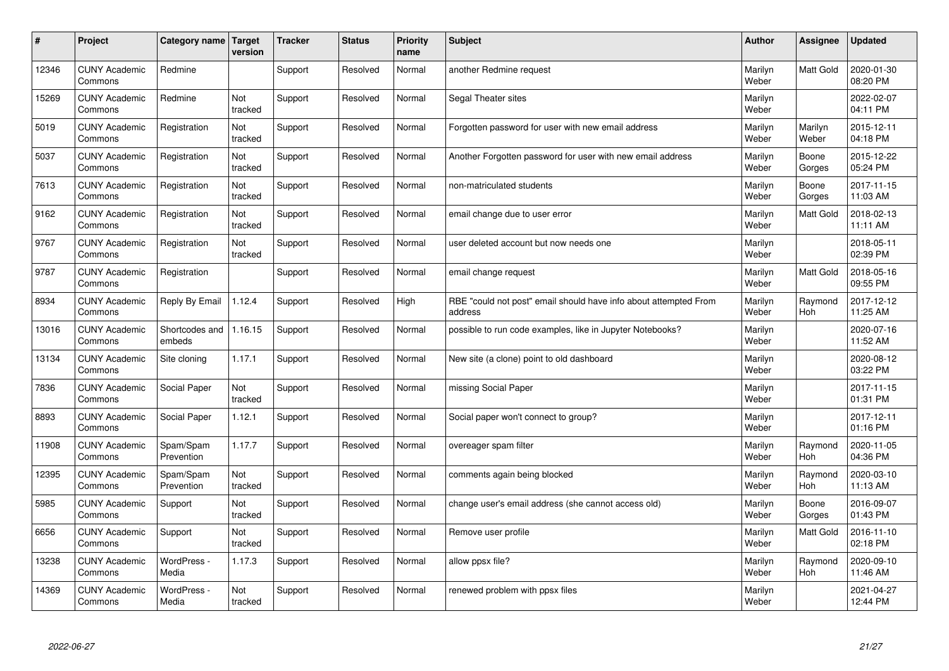| $\sharp$ | Project                         | Category name   Target   | version        | <b>Tracker</b> | <b>Status</b> | <b>Priority</b><br>name | <b>Subject</b>                                                              | <b>Author</b>    | Assignee              | <b>Updated</b>         |
|----------|---------------------------------|--------------------------|----------------|----------------|---------------|-------------------------|-----------------------------------------------------------------------------|------------------|-----------------------|------------------------|
| 12346    | <b>CUNY Academic</b><br>Commons | Redmine                  |                | Support        | Resolved      | Normal                  | another Redmine request                                                     | Marilyn<br>Weber | <b>Matt Gold</b>      | 2020-01-30<br>08:20 PM |
| 15269    | <b>CUNY Academic</b><br>Commons | Redmine                  | Not<br>tracked | Support        | Resolved      | Normal                  | Segal Theater sites                                                         | Marilyn<br>Weber |                       | 2022-02-07<br>04:11 PM |
| 5019     | <b>CUNY Academic</b><br>Commons | Registration             | Not<br>tracked | Support        | Resolved      | Normal                  | Forgotten password for user with new email address                          | Marilyn<br>Weber | Marilyn<br>Weber      | 2015-12-11<br>04:18 PM |
| 5037     | <b>CUNY Academic</b><br>Commons | Registration             | Not<br>tracked | Support        | Resolved      | Normal                  | Another Forgotten password for user with new email address                  | Marilyn<br>Weber | Boone<br>Gorges       | 2015-12-22<br>05:24 PM |
| 7613     | <b>CUNY Academic</b><br>Commons | Registration             | Not<br>tracked | Support        | Resolved      | Normal                  | non-matriculated students                                                   | Marilyn<br>Weber | Boone<br>Gorges       | 2017-11-15<br>11:03 AM |
| 9162     | <b>CUNY Academic</b><br>Commons | Registration             | Not<br>tracked | Support        | Resolved      | Normal                  | email change due to user error                                              | Marilyn<br>Weber | <b>Matt Gold</b>      | 2018-02-13<br>11:11 AM |
| 9767     | <b>CUNY Academic</b><br>Commons | Registration             | Not<br>tracked | Support        | Resolved      | Normal                  | user deleted account but now needs one                                      | Marilyn<br>Weber |                       | 2018-05-11<br>02:39 PM |
| 9787     | <b>CUNY Academic</b><br>Commons | Registration             |                | Support        | Resolved      | Normal                  | email change request                                                        | Marilyn<br>Weber | Matt Gold             | 2018-05-16<br>09:55 PM |
| 8934     | <b>CUNY Academic</b><br>Commons | Reply By Email           | 1.12.4         | Support        | Resolved      | High                    | RBE "could not post" email should have info about attempted From<br>address | Marilyn<br>Weber | Raymond<br><b>Hoh</b> | 2017-12-12<br>11:25 AM |
| 13016    | <b>CUNY Academic</b><br>Commons | Shortcodes and<br>embeds | 1.16.15        | Support        | Resolved      | Normal                  | possible to run code examples, like in Jupyter Notebooks?                   | Marilyn<br>Weber |                       | 2020-07-16<br>11:52 AM |
| 13134    | <b>CUNY Academic</b><br>Commons | Site cloning             | 1.17.1         | Support        | Resolved      | Normal                  | New site (a clone) point to old dashboard                                   | Marilyn<br>Weber |                       | 2020-08-12<br>03:22 PM |
| 7836     | <b>CUNY Academic</b><br>Commons | Social Paper             | Not<br>tracked | Support        | Resolved      | Normal                  | missing Social Paper                                                        | Marilyn<br>Weber |                       | 2017-11-15<br>01:31 PM |
| 8893     | <b>CUNY Academic</b><br>Commons | Social Paper             | 1.12.1         | Support        | Resolved      | Normal                  | Social paper won't connect to group?                                        | Marilyn<br>Weber |                       | 2017-12-11<br>01:16 PM |
| 11908    | <b>CUNY Academic</b><br>Commons | Spam/Spam<br>Prevention  | 1.17.7         | Support        | Resolved      | Normal                  | overeager spam filter                                                       | Marilyn<br>Weber | Raymond<br><b>Hoh</b> | 2020-11-05<br>04:36 PM |
| 12395    | <b>CUNY Academic</b><br>Commons | Spam/Spam<br>Prevention  | Not<br>tracked | Support        | Resolved      | Normal                  | comments again being blocked                                                | Marilyn<br>Weber | Raymond<br>Hoh        | 2020-03-10<br>11:13 AM |
| 5985     | <b>CUNY Academic</b><br>Commons | Support                  | Not<br>tracked | Support        | Resolved      | Normal                  | change user's email address (she cannot access old)                         | Marilyn<br>Weber | Boone<br>Gorges       | 2016-09-07<br>01:43 PM |
| 6656     | <b>CUNY Academic</b><br>Commons | Support                  | Not<br>tracked | Support        | Resolved      | Normal                  | Remove user profile                                                         | Marilyn<br>Weber | Matt Gold             | 2016-11-10<br>02:18 PM |
| 13238    | <b>CUNY Academic</b><br>Commons | WordPress -<br>Media     | 1.17.3         | Support        | Resolved      | Normal                  | allow ppsx file?                                                            | Marilyn<br>Weber | Raymond<br><b>Hoh</b> | 2020-09-10<br>11:46 AM |
| 14369    | <b>CUNY Academic</b><br>Commons | WordPress -<br>Media     | Not<br>tracked | Support        | Resolved      | Normal                  | renewed problem with ppsx files                                             | Marilyn<br>Weber |                       | 2021-04-27<br>12:44 PM |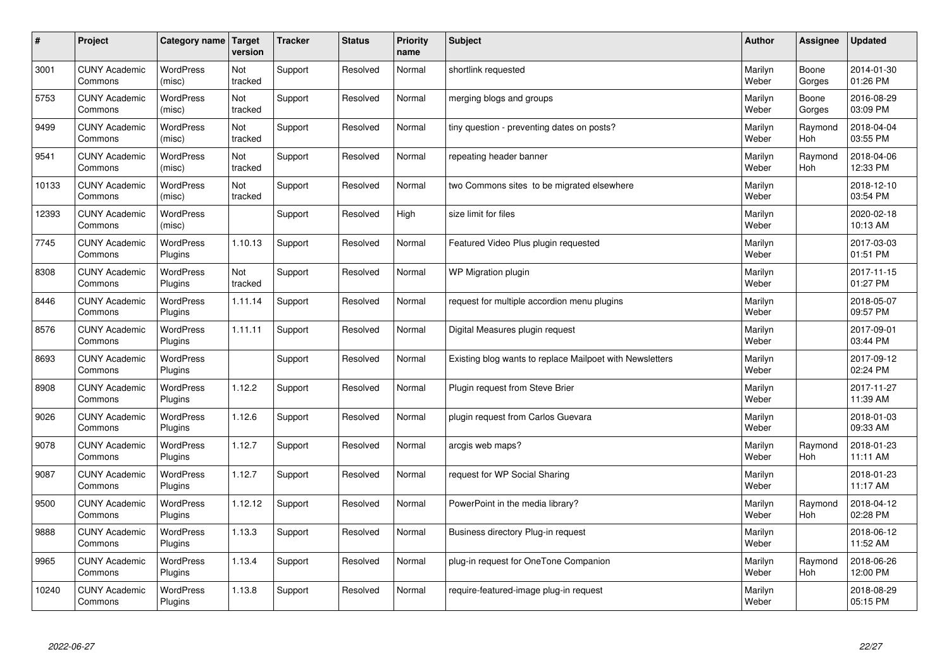| $\sharp$ | Project                         | Category name               | Target<br>version | <b>Tracker</b> | <b>Status</b> | <b>Priority</b><br>name | <b>Subject</b>                                           | <b>Author</b>    | Assignee              | <b>Updated</b>         |
|----------|---------------------------------|-----------------------------|-------------------|----------------|---------------|-------------------------|----------------------------------------------------------|------------------|-----------------------|------------------------|
| 3001     | <b>CUNY Academic</b><br>Commons | <b>WordPress</b><br>(misc)  | Not<br>tracked    | Support        | Resolved      | Normal                  | shortlink requested                                      | Marilyn<br>Weber | Boone<br>Gorges       | 2014-01-30<br>01:26 PM |
| 5753     | <b>CUNY Academic</b><br>Commons | <b>WordPress</b><br>(misc)  | Not<br>tracked    | Support        | Resolved      | Normal                  | merging blogs and groups                                 | Marilyn<br>Weber | Boone<br>Gorges       | 2016-08-29<br>03:09 PM |
| 9499     | <b>CUNY Academic</b><br>Commons | <b>WordPress</b><br>(misc)  | Not<br>tracked    | Support        | Resolved      | Normal                  | tiny question - preventing dates on posts?               | Marilyn<br>Weber | Raymond<br><b>Hoh</b> | 2018-04-04<br>03:55 PM |
| 9541     | <b>CUNY Academic</b><br>Commons | <b>WordPress</b><br>(misc)  | Not<br>tracked    | Support        | Resolved      | Normal                  | repeating header banner                                  | Marilyn<br>Weber | Raymond<br><b>Hoh</b> | 2018-04-06<br>12:33 PM |
| 10133    | <b>CUNY Academic</b><br>Commons | <b>WordPress</b><br>(misc)  | Not<br>tracked    | Support        | Resolved      | Normal                  | two Commons sites to be migrated elsewhere               | Marilyn<br>Weber |                       | 2018-12-10<br>03:54 PM |
| 12393    | <b>CUNY Academic</b><br>Commons | WordPress<br>(misc)         |                   | Support        | Resolved      | High                    | size limit for files                                     | Marilyn<br>Weber |                       | 2020-02-18<br>10:13 AM |
| 7745     | <b>CUNY Academic</b><br>Commons | <b>WordPress</b><br>Plugins | 1.10.13           | Support        | Resolved      | Normal                  | Featured Video Plus plugin requested                     | Marilyn<br>Weber |                       | 2017-03-03<br>01:51 PM |
| 8308     | <b>CUNY Academic</b><br>Commons | <b>WordPress</b><br>Plugins | Not<br>tracked    | Support        | Resolved      | Normal                  | WP Migration plugin                                      | Marilyn<br>Weber |                       | 2017-11-15<br>01:27 PM |
| 8446     | <b>CUNY Academic</b><br>Commons | <b>WordPress</b><br>Plugins | 1.11.14           | Support        | Resolved      | Normal                  | request for multiple accordion menu plugins              | Marilyn<br>Weber |                       | 2018-05-07<br>09:57 PM |
| 8576     | <b>CUNY Academic</b><br>Commons | WordPress<br>Plugins        | 1.11.11           | Support        | Resolved      | Normal                  | Digital Measures plugin request                          | Marilyn<br>Weber |                       | 2017-09-01<br>03:44 PM |
| 8693     | <b>CUNY Academic</b><br>Commons | WordPress<br>Plugins        |                   | Support        | Resolved      | Normal                  | Existing blog wants to replace Mailpoet with Newsletters | Marilyn<br>Weber |                       | 2017-09-12<br>02:24 PM |
| 8908     | <b>CUNY Academic</b><br>Commons | <b>WordPress</b><br>Plugins | 1.12.2            | Support        | Resolved      | Normal                  | Plugin request from Steve Brier                          | Marilyn<br>Weber |                       | 2017-11-27<br>11:39 AM |
| 9026     | <b>CUNY Academic</b><br>Commons | <b>WordPress</b><br>Plugins | 1.12.6            | Support        | Resolved      | Normal                  | plugin request from Carlos Guevara                       | Marilyn<br>Weber |                       | 2018-01-03<br>09:33 AM |
| 9078     | <b>CUNY Academic</b><br>Commons | WordPress<br>Plugins        | 1.12.7            | Support        | Resolved      | Normal                  | arcgis web maps?                                         | Marilyn<br>Weber | Raymond<br><b>Hoh</b> | 2018-01-23<br>11:11 AM |
| 9087     | <b>CUNY Academic</b><br>Commons | <b>WordPress</b><br>Plugins | 1.12.7            | Support        | Resolved      | Normal                  | request for WP Social Sharing                            | Marilyn<br>Weber |                       | 2018-01-23<br>11:17 AM |
| 9500     | <b>CUNY Academic</b><br>Commons | <b>WordPress</b><br>Plugins | 1.12.12           | Support        | Resolved      | Normal                  | PowerPoint in the media library?                         | Marilyn<br>Weber | Raymond<br><b>Hoh</b> | 2018-04-12<br>02:28 PM |
| 9888     | <b>CUNY Academic</b><br>Commons | WordPress<br>Plugins        | 1.13.3            | Support        | Resolved      | Normal                  | Business directory Plug-in request                       | Marilyn<br>Weber |                       | 2018-06-12<br>11:52 AM |
| 9965     | <b>CUNY Academic</b><br>Commons | WordPress<br>Plugins        | 1.13.4            | Support        | Resolved      | Normal                  | plug-in request for OneTone Companion                    | Marilyn<br>Weber | Raymond<br><b>Hoh</b> | 2018-06-26<br>12:00 PM |
| 10240    | <b>CUNY Academic</b><br>Commons | WordPress<br>Plugins        | 1.13.8            | Support        | Resolved      | Normal                  | require-featured-image plug-in request                   | Marilyn<br>Weber |                       | 2018-08-29<br>05:15 PM |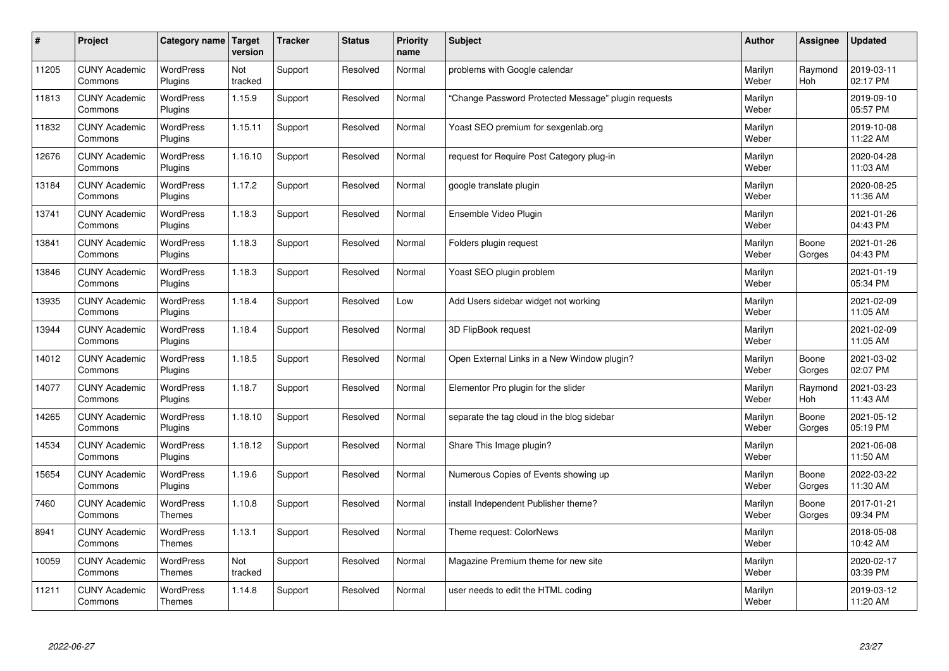| $\pmb{\#}$ | Project                         | Category name                     | Target<br>version | <b>Tracker</b> | <b>Status</b> | <b>Priority</b><br>name | <b>Subject</b>                                      | <b>Author</b>    | Assignee        | <b>Updated</b>         |
|------------|---------------------------------|-----------------------------------|-------------------|----------------|---------------|-------------------------|-----------------------------------------------------|------------------|-----------------|------------------------|
| 11205      | <b>CUNY Academic</b><br>Commons | <b>WordPress</b><br>Plugins       | Not<br>tracked    | Support        | Resolved      | Normal                  | problems with Google calendar                       | Marilyn<br>Weber | Raymond<br>Hoh  | 2019-03-11<br>02:17 PM |
| 11813      | <b>CUNY Academic</b><br>Commons | WordPress<br>Plugins              | 1.15.9            | Support        | Resolved      | Normal                  | 'Change Password Protected Message" plugin requests | Marilyn<br>Weber |                 | 2019-09-10<br>05:57 PM |
| 11832      | <b>CUNY Academic</b><br>Commons | <b>WordPress</b><br>Plugins       | 1.15.11           | Support        | Resolved      | Normal                  | Yoast SEO premium for sexgenlab.org                 | Marilyn<br>Weber |                 | 2019-10-08<br>11:22 AM |
| 12676      | <b>CUNY Academic</b><br>Commons | <b>WordPress</b><br>Plugins       | 1.16.10           | Support        | Resolved      | Normal                  | request for Require Post Category plug-in           | Marilyn<br>Weber |                 | 2020-04-28<br>11:03 AM |
| 13184      | <b>CUNY Academic</b><br>Commons | <b>WordPress</b><br>Plugins       | 1.17.2            | Support        | Resolved      | Normal                  | google translate plugin                             | Marilyn<br>Weber |                 | 2020-08-25<br>11:36 AM |
| 13741      | <b>CUNY Academic</b><br>Commons | <b>WordPress</b><br>Plugins       | 1.18.3            | Support        | Resolved      | Normal                  | Ensemble Video Plugin                               | Marilyn<br>Weber |                 | 2021-01-26<br>04:43 PM |
| 13841      | <b>CUNY Academic</b><br>Commons | <b>WordPress</b><br>Plugins       | 1.18.3            | Support        | Resolved      | Normal                  | Folders plugin request                              | Marilyn<br>Weber | Boone<br>Gorges | 2021-01-26<br>04:43 PM |
| 13846      | <b>CUNY Academic</b><br>Commons | WordPress<br>Plugins              | 1.18.3            | Support        | Resolved      | Normal                  | Yoast SEO plugin problem                            | Marilyn<br>Weber |                 | 2021-01-19<br>05:34 PM |
| 13935      | <b>CUNY Academic</b><br>Commons | <b>WordPress</b><br>Plugins       | 1.18.4            | Support        | Resolved      | Low                     | Add Users sidebar widget not working                | Marilyn<br>Weber |                 | 2021-02-09<br>11:05 AM |
| 13944      | <b>CUNY Academic</b><br>Commons | <b>WordPress</b><br>Plugins       | 1.18.4            | Support        | Resolved      | Normal                  | 3D FlipBook request                                 | Marilyn<br>Weber |                 | 2021-02-09<br>11:05 AM |
| 14012      | <b>CUNY Academic</b><br>Commons | <b>WordPress</b><br>Plugins       | 1.18.5            | Support        | Resolved      | Normal                  | Open External Links in a New Window plugin?         | Marilyn<br>Weber | Boone<br>Gorges | 2021-03-02<br>02:07 PM |
| 14077      | <b>CUNY Academic</b><br>Commons | <b>WordPress</b><br>Plugins       | 1.18.7            | Support        | Resolved      | Normal                  | Elementor Pro plugin for the slider                 | Marilyn<br>Weber | Raymond<br>Hoh  | 2021-03-23<br>11:43 AM |
| 14265      | <b>CUNY Academic</b><br>Commons | <b>WordPress</b><br>Plugins       | 1.18.10           | Support        | Resolved      | Normal                  | separate the tag cloud in the blog sidebar          | Marilyn<br>Weber | Boone<br>Gorges | 2021-05-12<br>05:19 PM |
| 14534      | <b>CUNY Academic</b><br>Commons | WordPress<br>Plugins              | 1.18.12           | Support        | Resolved      | Normal                  | Share This Image plugin?                            | Marilyn<br>Weber |                 | 2021-06-08<br>11:50 AM |
| 15654      | <b>CUNY Academic</b><br>Commons | <b>WordPress</b><br>Plugins       | 1.19.6            | Support        | Resolved      | Normal                  | Numerous Copies of Events showing up                | Marilyn<br>Weber | Boone<br>Gorges | 2022-03-22<br>11:30 AM |
| 7460       | <b>CUNY Academic</b><br>Commons | WordPress<br><b>Themes</b>        | 1.10.8            | Support        | Resolved      | Normal                  | install Independent Publisher theme?                | Marilyn<br>Weber | Boone<br>Gorges | 2017-01-21<br>09:34 PM |
| 8941       | <b>CUNY Academic</b><br>Commons | WordPress<br>Themes               | 1.13.1            | Support        | Resolved      | Normal                  | Theme request: ColorNews                            | Marilyn<br>Weber |                 | 2018-05-08<br>10:42 AM |
| 10059      | <b>CUNY Academic</b><br>Commons | WordPress<br>Themes               | Not<br>tracked    | Support        | Resolved      | Normal                  | Magazine Premium theme for new site                 | Marilyn<br>Weber |                 | 2020-02-17<br>03:39 PM |
| 11211      | <b>CUNY Academic</b><br>Commons | <b>WordPress</b><br><b>Themes</b> | 1.14.8            | Support        | Resolved      | Normal                  | user needs to edit the HTML coding                  | Marilyn<br>Weber |                 | 2019-03-12<br>11:20 AM |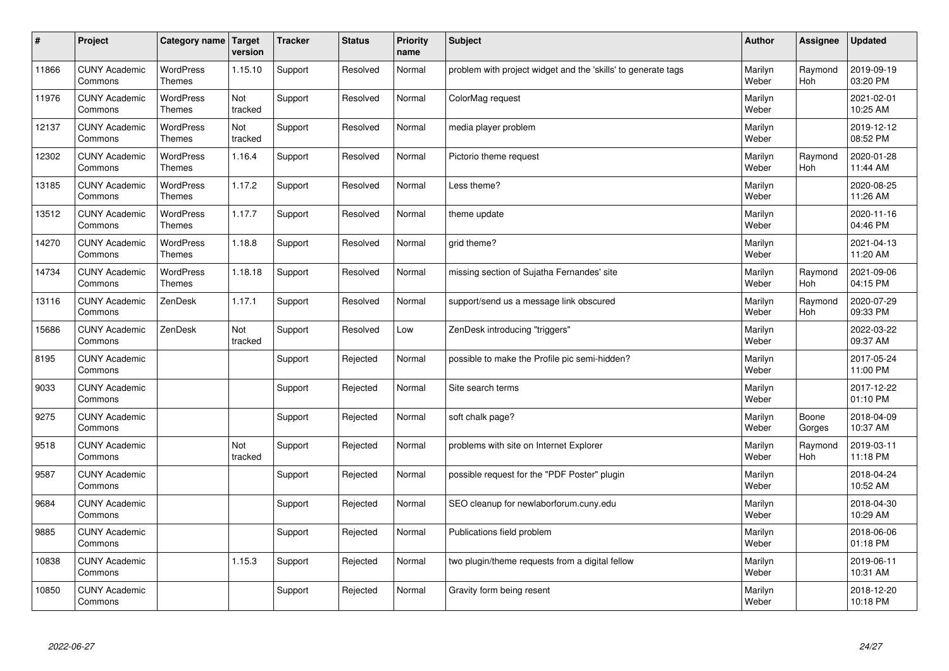| $\vert$ # | Project                         | Category name   Target            | version        | <b>Tracker</b> | <b>Status</b> | <b>Priority</b><br>name | <b>Subject</b>                                                | <b>Author</b>    | Assignee              | <b>Updated</b>         |
|-----------|---------------------------------|-----------------------------------|----------------|----------------|---------------|-------------------------|---------------------------------------------------------------|------------------|-----------------------|------------------------|
| 11866     | <b>CUNY Academic</b><br>Commons | <b>WordPress</b><br><b>Themes</b> | 1.15.10        | Support        | Resolved      | Normal                  | problem with project widget and the 'skills' to generate tags | Marilyn<br>Weber | Raymond<br>Hoh        | 2019-09-19<br>03:20 PM |
| 11976     | <b>CUNY Academic</b><br>Commons | <b>WordPress</b><br><b>Themes</b> | Not<br>tracked | Support        | Resolved      | Normal                  | ColorMag request                                              | Marilyn<br>Weber |                       | 2021-02-01<br>10:25 AM |
| 12137     | <b>CUNY Academic</b><br>Commons | <b>WordPress</b><br><b>Themes</b> | Not<br>tracked | Support        | Resolved      | Normal                  | media player problem                                          | Marilyn<br>Weber |                       | 2019-12-12<br>08:52 PM |
| 12302     | <b>CUNY Academic</b><br>Commons | WordPress<br><b>Themes</b>        | 1.16.4         | Support        | Resolved      | Normal                  | Pictorio theme request                                        | Marilyn<br>Weber | Raymond<br><b>Hoh</b> | 2020-01-28<br>11:44 AM |
| 13185     | <b>CUNY Academic</b><br>Commons | <b>WordPress</b><br><b>Themes</b> | 1.17.2         | Support        | Resolved      | Normal                  | Less theme?                                                   | Marilyn<br>Weber |                       | 2020-08-25<br>11:26 AM |
| 13512     | <b>CUNY Academic</b><br>Commons | <b>WordPress</b><br><b>Themes</b> | 1.17.7         | Support        | Resolved      | Normal                  | theme update                                                  | Marilyn<br>Weber |                       | 2020-11-16<br>04:46 PM |
| 14270     | <b>CUNY Academic</b><br>Commons | WordPress<br><b>Themes</b>        | 1.18.8         | Support        | Resolved      | Normal                  | grid theme?                                                   | Marilyn<br>Weber |                       | 2021-04-13<br>11:20 AM |
| 14734     | <b>CUNY Academic</b><br>Commons | WordPress<br><b>Themes</b>        | 1.18.18        | Support        | Resolved      | Normal                  | missing section of Sujatha Fernandes' site                    | Marilyn<br>Weber | Raymond<br><b>Hoh</b> | 2021-09-06<br>04:15 PM |
| 13116     | <b>CUNY Academic</b><br>Commons | ZenDesk                           | 1.17.1         | Support        | Resolved      | Normal                  | support/send us a message link obscured                       | Marilyn<br>Weber | Raymond<br>Hoh        | 2020-07-29<br>09:33 PM |
| 15686     | <b>CUNY Academic</b><br>Commons | ZenDesk                           | Not<br>tracked | Support        | Resolved      | Low                     | ZenDesk introducing "triggers"                                | Marilyn<br>Weber |                       | 2022-03-22<br>09:37 AM |
| 8195      | <b>CUNY Academic</b><br>Commons |                                   |                | Support        | Rejected      | Normal                  | possible to make the Profile pic semi-hidden?                 | Marilyn<br>Weber |                       | 2017-05-24<br>11:00 PM |
| 9033      | <b>CUNY Academic</b><br>Commons |                                   |                | Support        | Rejected      | Normal                  | Site search terms                                             | Marilyn<br>Weber |                       | 2017-12-22<br>01:10 PM |
| 9275      | <b>CUNY Academic</b><br>Commons |                                   |                | Support        | Rejected      | Normal                  | soft chalk page?                                              | Marilyn<br>Weber | Boone<br>Gorges       | 2018-04-09<br>10:37 AM |
| 9518      | <b>CUNY Academic</b><br>Commons |                                   | Not<br>tracked | Support        | Rejected      | Normal                  | problems with site on Internet Explorer                       | Marilyn<br>Weber | Raymond<br>Hoh        | 2019-03-11<br>11:18 PM |
| 9587      | <b>CUNY Academic</b><br>Commons |                                   |                | Support        | Rejected      | Normal                  | possible request for the "PDF Poster" plugin                  | Marilyn<br>Weber |                       | 2018-04-24<br>10:52 AM |
| 9684      | <b>CUNY Academic</b><br>Commons |                                   |                | Support        | Rejected      | Normal                  | SEO cleanup for newlaborforum.cuny.edu                        | Marilyn<br>Weber |                       | 2018-04-30<br>10:29 AM |
| 9885      | <b>CUNY Academic</b><br>Commons |                                   |                | Support        | Rejected      | Normal                  | Publications field problem                                    | Marilyn<br>Weber |                       | 2018-06-06<br>01:18 PM |
| 10838     | <b>CUNY Academic</b><br>Commons |                                   | 1.15.3         | Support        | Rejected      | Normal                  | two plugin/theme requests from a digital fellow               | Marilyn<br>Weber |                       | 2019-06-11<br>10:31 AM |
| 10850     | <b>CUNY Academic</b><br>Commons |                                   |                | Support        | Rejected      | Normal                  | Gravity form being resent                                     | Marilyn<br>Weber |                       | 2018-12-20<br>10:18 PM |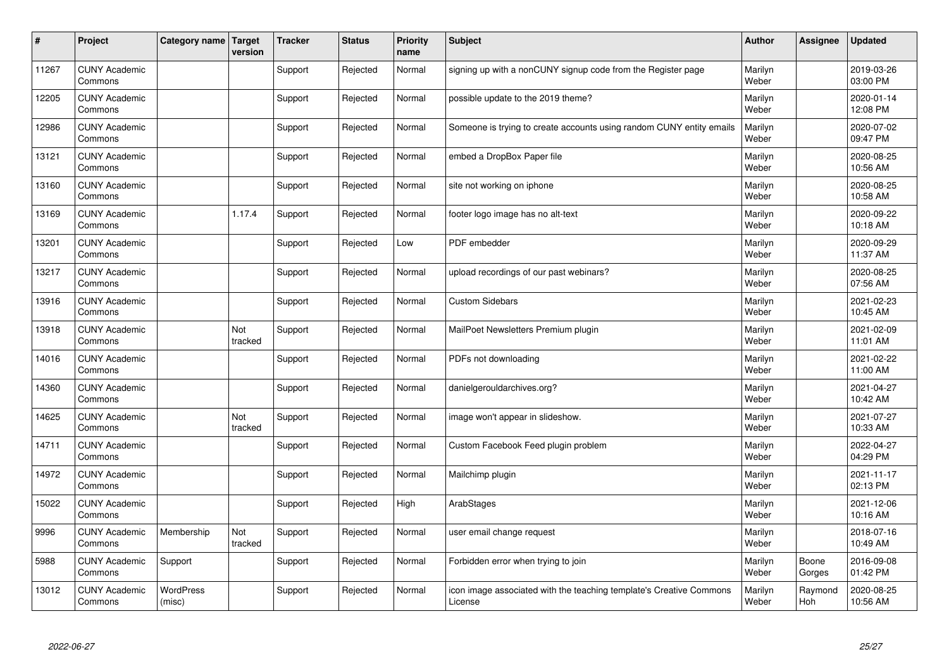| $\vert$ # | Project                         | Category name   Target     | version        | <b>Tracker</b> | <b>Status</b> | <b>Priority</b><br>name | <b>Subject</b>                                                                 | <b>Author</b>    | Assignee        | <b>Updated</b>         |
|-----------|---------------------------------|----------------------------|----------------|----------------|---------------|-------------------------|--------------------------------------------------------------------------------|------------------|-----------------|------------------------|
| 11267     | <b>CUNY Academic</b><br>Commons |                            |                | Support        | Rejected      | Normal                  | signing up with a nonCUNY signup code from the Register page                   | Marilyn<br>Weber |                 | 2019-03-26<br>03:00 PM |
| 12205     | <b>CUNY Academic</b><br>Commons |                            |                | Support        | Rejected      | Normal                  | possible update to the 2019 theme?                                             | Marilyn<br>Weber |                 | 2020-01-14<br>12:08 PM |
| 12986     | <b>CUNY Academic</b><br>Commons |                            |                | Support        | Rejected      | Normal                  | Someone is trying to create accounts using random CUNY entity emails           | Marilyn<br>Weber |                 | 2020-07-02<br>09:47 PM |
| 13121     | <b>CUNY Academic</b><br>Commons |                            |                | Support        | Rejected      | Normal                  | embed a DropBox Paper file                                                     | Marilyn<br>Weber |                 | 2020-08-25<br>10:56 AM |
| 13160     | <b>CUNY Academic</b><br>Commons |                            |                | Support        | Rejected      | Normal                  | site not working on iphone                                                     | Marilyn<br>Weber |                 | 2020-08-25<br>10:58 AM |
| 13169     | <b>CUNY Academic</b><br>Commons |                            | 1.17.4         | Support        | Rejected      | Normal                  | footer logo image has no alt-text                                              | Marilyn<br>Weber |                 | 2020-09-22<br>10:18 AM |
| 13201     | <b>CUNY Academic</b><br>Commons |                            |                | Support        | Rejected      | Low                     | PDF embedder                                                                   | Marilyn<br>Weber |                 | 2020-09-29<br>11:37 AM |
| 13217     | <b>CUNY Academic</b><br>Commons |                            |                | Support        | Rejected      | Normal                  | upload recordings of our past webinars?                                        | Marilyn<br>Weber |                 | 2020-08-25<br>07:56 AM |
| 13916     | <b>CUNY Academic</b><br>Commons |                            |                | Support        | Rejected      | Normal                  | <b>Custom Sidebars</b>                                                         | Marilyn<br>Weber |                 | 2021-02-23<br>10:45 AM |
| 13918     | <b>CUNY Academic</b><br>Commons |                            | Not<br>tracked | Support        | Rejected      | Normal                  | MailPoet Newsletters Premium plugin                                            | Marilyn<br>Weber |                 | 2021-02-09<br>11:01 AM |
| 14016     | <b>CUNY Academic</b><br>Commons |                            |                | Support        | Rejected      | Normal                  | PDFs not downloading                                                           | Marilyn<br>Weber |                 | 2021-02-22<br>11:00 AM |
| 14360     | <b>CUNY Academic</b><br>Commons |                            |                | Support        | Rejected      | Normal                  | danielgerouldarchives.org?                                                     | Marilyn<br>Weber |                 | 2021-04-27<br>10:42 AM |
| 14625     | <b>CUNY Academic</b><br>Commons |                            | Not<br>tracked | Support        | Rejected      | Normal                  | image won't appear in slideshow.                                               | Marilyn<br>Weber |                 | 2021-07-27<br>10:33 AM |
| 14711     | <b>CUNY Academic</b><br>Commons |                            |                | Support        | Rejected      | Normal                  | Custom Facebook Feed plugin problem                                            | Marilyn<br>Weber |                 | 2022-04-27<br>04:29 PM |
| 14972     | <b>CUNY Academic</b><br>Commons |                            |                | Support        | Rejected      | Normal                  | Mailchimp plugin                                                               | Marilyn<br>Weber |                 | 2021-11-17<br>02:13 PM |
| 15022     | <b>CUNY Academic</b><br>Commons |                            |                | Support        | Rejected      | High                    | ArabStages                                                                     | Marilyn<br>Weber |                 | 2021-12-06<br>10:16 AM |
| 9996      | <b>CUNY Academic</b><br>Commons | Membership                 | Not<br>tracked | Support        | Rejected      | Normal                  | user email change request                                                      | Marilyn<br>Weber |                 | 2018-07-16<br>10:49 AM |
| 5988      | <b>CUNY Academic</b><br>Commons | Support                    |                | Support        | Rejected      | Normal                  | Forbidden error when trying to join                                            | Marilyn<br>Weber | Boone<br>Gorges | 2016-09-08<br>01:42 PM |
| 13012     | <b>CUNY Academic</b><br>Commons | <b>WordPress</b><br>(misc) |                | Support        | Rejected      | Normal                  | icon image associated with the teaching template's Creative Commons<br>License | Marilyn<br>Weber | Raymond<br>Hoh  | 2020-08-25<br>10:56 AM |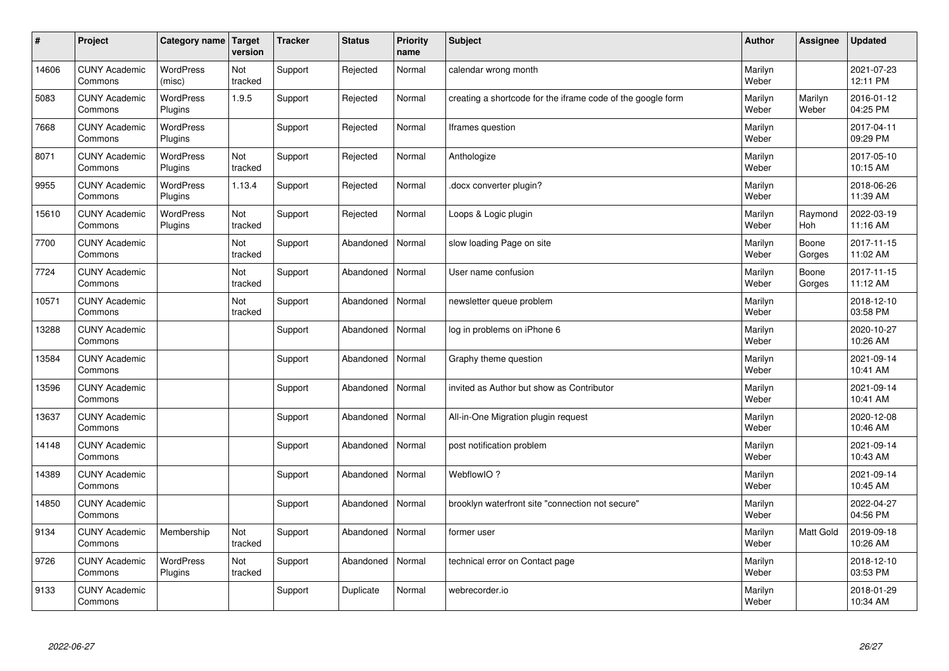| $\vert$ # | Project                         | Category name   Target      | version        | <b>Tracker</b> | <b>Status</b> | <b>Priority</b><br>name | <b>Subject</b>                                              | <b>Author</b>    | <b>Assignee</b>       | <b>Updated</b>         |
|-----------|---------------------------------|-----------------------------|----------------|----------------|---------------|-------------------------|-------------------------------------------------------------|------------------|-----------------------|------------------------|
| 14606     | <b>CUNY Academic</b><br>Commons | <b>WordPress</b><br>(misc)  | Not<br>tracked | Support        | Rejected      | Normal                  | calendar wrong month                                        | Marilyn<br>Weber |                       | 2021-07-23<br>12:11 PM |
| 5083      | <b>CUNY Academic</b><br>Commons | <b>WordPress</b><br>Plugins | 1.9.5          | Support        | Rejected      | Normal                  | creating a shortcode for the iframe code of the google form | Marilyn<br>Weber | Marilyn<br>Weber      | 2016-01-12<br>04:25 PM |
| 7668      | <b>CUNY Academic</b><br>Commons | WordPress<br>Plugins        |                | Support        | Rejected      | Normal                  | lframes question                                            | Marilyn<br>Weber |                       | 2017-04-11<br>09:29 PM |
| 8071      | <b>CUNY Academic</b><br>Commons | <b>WordPress</b><br>Plugins | Not<br>tracked | Support        | Rejected      | Normal                  | Anthologize                                                 | Marilyn<br>Weber |                       | 2017-05-10<br>10:15 AM |
| 9955      | <b>CUNY Academic</b><br>Commons | <b>WordPress</b><br>Plugins | 1.13.4         | Support        | Rejected      | Normal                  | docx converter plugin?                                      | Marilyn<br>Weber |                       | 2018-06-26<br>11:39 AM |
| 15610     | <b>CUNY Academic</b><br>Commons | <b>WordPress</b><br>Plugins | Not<br>tracked | Support        | Rejected      | Normal                  | Loops & Logic plugin                                        | Marilyn<br>Weber | Raymond<br><b>Hoh</b> | 2022-03-19<br>11:16 AM |
| 7700      | <b>CUNY Academic</b><br>Commons |                             | Not<br>tracked | Support        | Abandoned     | Normal                  | slow loading Page on site                                   | Marilyn<br>Weber | Boone<br>Gorges       | 2017-11-15<br>11:02 AM |
| 7724      | <b>CUNY Academic</b><br>Commons |                             | Not<br>tracked | Support        | Abandoned     | Normal                  | User name confusion                                         | Marilyn<br>Weber | Boone<br>Gorges       | 2017-11-15<br>11:12 AM |
| 10571     | <b>CUNY Academic</b><br>Commons |                             | Not<br>tracked | Support        | Abandoned     | Normal                  | newsletter queue problem                                    | Marilyn<br>Weber |                       | 2018-12-10<br>03:58 PM |
| 13288     | <b>CUNY Academic</b><br>Commons |                             |                | Support        | Abandoned     | Normal                  | log in problems on iPhone 6                                 | Marilyn<br>Weber |                       | 2020-10-27<br>10:26 AM |
| 13584     | <b>CUNY Academic</b><br>Commons |                             |                | Support        | Abandoned     | Normal                  | Graphy theme question                                       | Marilyn<br>Weber |                       | 2021-09-14<br>10:41 AM |
| 13596     | <b>CUNY Academic</b><br>Commons |                             |                | Support        | Abandoned     | Normal                  | invited as Author but show as Contributor                   | Marilyn<br>Weber |                       | 2021-09-14<br>10:41 AM |
| 13637     | <b>CUNY Academic</b><br>Commons |                             |                | Support        | Abandoned     | Normal                  | All-in-One Migration plugin request                         | Marilyn<br>Weber |                       | 2020-12-08<br>10:46 AM |
| 14148     | <b>CUNY Academic</b><br>Commons |                             |                | Support        | Abandoned     | Normal                  | post notification problem                                   | Marilyn<br>Weber |                       | 2021-09-14<br>10:43 AM |
| 14389     | <b>CUNY Academic</b><br>Commons |                             |                | Support        | Abandoned     | Normal                  | WebflowIO?                                                  | Marilyn<br>Weber |                       | 2021-09-14<br>10:45 AM |
| 14850     | <b>CUNY Academic</b><br>Commons |                             |                | Support        | Abandoned     | Normal                  | brooklyn waterfront site "connection not secure"            | Marilyn<br>Weber |                       | 2022-04-27<br>04:56 PM |
| 9134      | <b>CUNY Academic</b><br>Commons | Membership                  | Not<br>tracked | Support        | Abandoned     | Normal                  | former user                                                 | Marilyn<br>Weber | Matt Gold             | 2019-09-18<br>10:26 AM |
| 9726      | <b>CUNY Academic</b><br>Commons | WordPress<br>Plugins        | Not<br>tracked | Support        | Abandoned     | Normal                  | technical error on Contact page                             | Marilyn<br>Weber |                       | 2018-12-10<br>03:53 PM |
| 9133      | <b>CUNY Academic</b><br>Commons |                             |                | Support        | Duplicate     | Normal                  | webrecorder.io                                              | Marilyn<br>Weber |                       | 2018-01-29<br>10:34 AM |